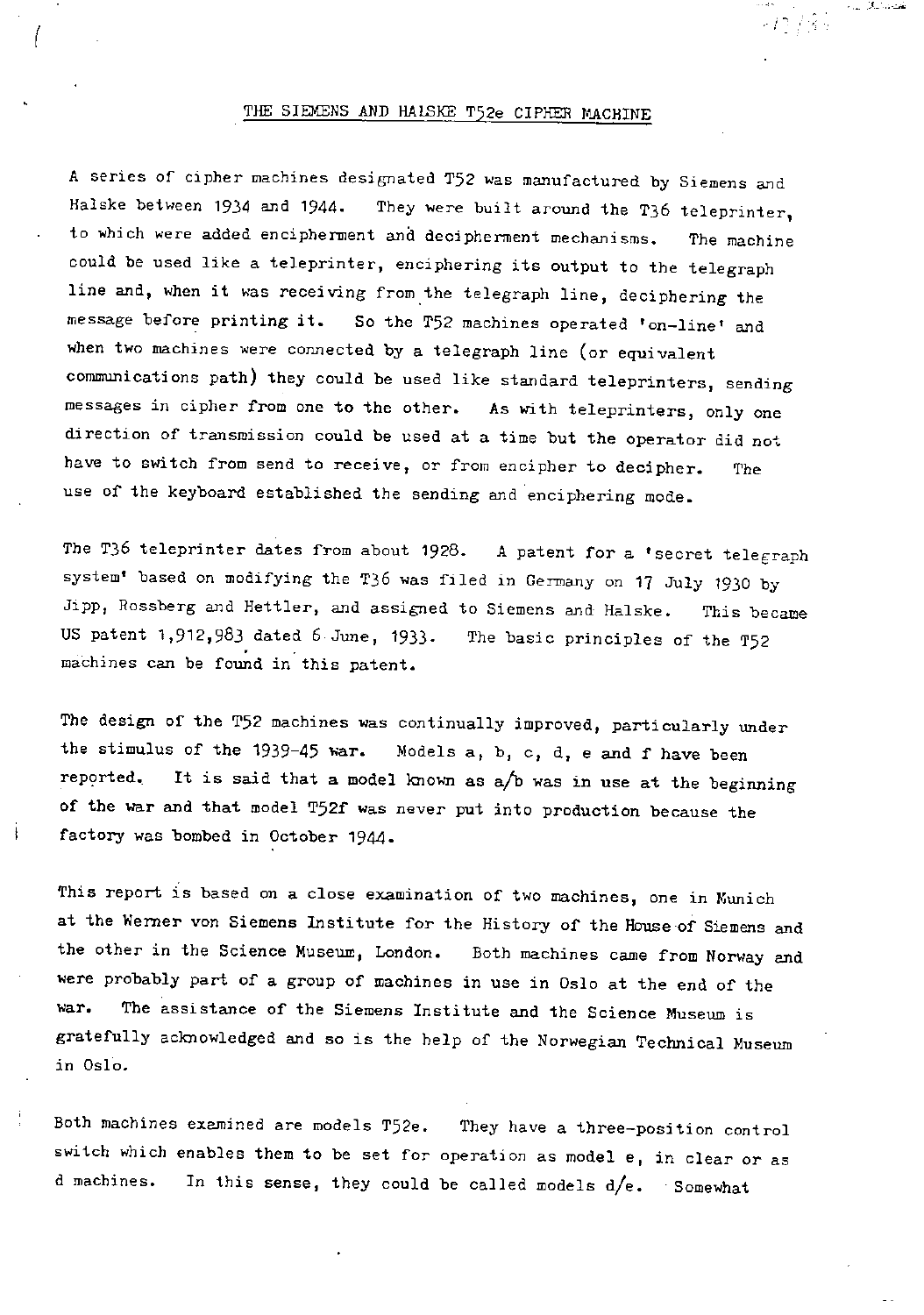### THE SIEMENS AND HALSKE T52e CIPHER MACHINE

تقصصا لبكار المرام

-12 / 85

A series of cipher machines designated T52 was manufactured by Siemens and Halske between 1934 and 1944. They were built around the T36 teleprinter, to which were added encipherment and decipherment mechanisms. The machine could be used like a teleprinter, enciphering its output to the telegraph line and, when it was receiving from the telegraph line, deciphering the message before printing it. So the T52 machines operated 'on-line' and when two machines were connected by a telegraph line (or equivalent communications path) they could be used like standard teleprinters, sending messages in cipher from one to the other. As with teleprinters, only one direction of transmission could be used at a time but the operator did not have to switch from send to receive, or from encipher to decipher. The use of the keyboard established the sending and enciphering mode.

The T36 teleprinter dates from about  $1928$ . A patent for a 'secret telegraph system' based on modifying the T36 was filed in Germany on 17 July 1930 by Jipp, Rossberg and Hettler, and assigned to Siemens and Halske. This became US patent 1,912,983 dated 6 June, 1933- The basic principles of the T52 machines can be found in this patent.

The design of the T52 machines was continually improved, particularly under the stimulus of the 1939-45 war. Models a, b, c, d, e and f have been repprted. It is said that a model known as a/b was in use at the beginning of the war and that model T52f was never put into production because the factory was bombed in October 1944.

This report is based on a close examination of two machines, one in Munich at the Werner von Siemens Institute for the History of the House of Siemens and the other in the Science Museum, London. Both machines came from Norway and were probably part of a group of machines in use in Oslo at the end of the war. The assistance of the Siemens Institute and the Science Museum is gratefully acknowledged and so is the help of the Norwegian Technical Museum in Oslo.

Both machines examined are models T52e. They have a three-position control switch which enables them to be set for operation as model e, in clear or as d machines. In this sense, they could be called models  $d/e$ . Somewhat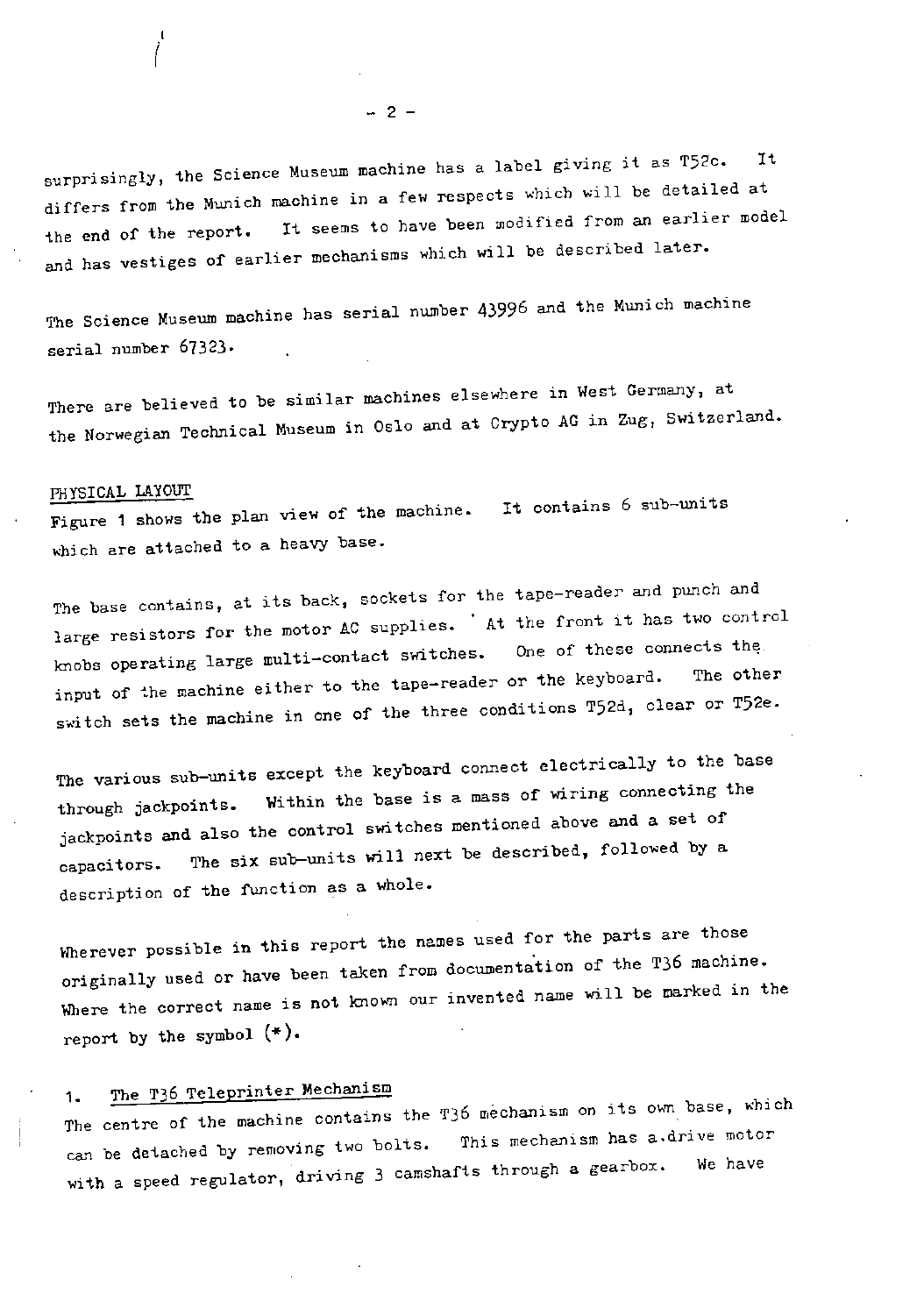It surprisingly, the Science Museum machine  $\frac{1}{2}$  and  $\frac{1}{2}$  and  $\frac{1}{2}$  are detailed at differs from the Munich machine in a few respects which is fear an earlier model the end of the report. It seems to have been modified from an earlier model and has vestiges of earlier mechanisms which will be described later.

The Science Museum machine has serial number 43996 and the Munich machine serial number 67323.

There are believed to be similar machines elsewhere in West Germany, at the Norwegian Technical Museum in Oslo and at Crypto AG in Zug, Switzerland.

### PHYSICAL LAYOUT

Figure 1 shows the plan view of the machine. It contains  $\frac{1}{\sqrt{2}}$  sub-units 6 sub-units 6 sub-units 6 sub-units 6 sub-units 6 sub-units 6 sub-units 6 sub-units 6 sub-units 6 sub-units 6 sub-units 6 sub-units 6 sub-uni which are attached to a heavy base.

The base contains, at its back, sockets for the tape-reader and punch and<br>large resistors for the motor AC supplies. 'At the front it has two control large resistors for the motor  $A\sim 1$ . knobs operating large multi-contact surface  $\mathbf{r}$  is the learned and the other input of the machine either to the tapeswitch sets the machine in one of the three conditions  $\frac{1}{2}$ 

The various sub-units except the keyboard connect electrically to the base<br>through jackpoints. Within the base is a mass of wiring connecting the jackpoints and also the control switches mentioned above and a set of jackpoints and also the control switches mentioned above and a set of  $\alpha$  set of  $\alpha$  and a set of  $\alpha$  and a set of  $\alpha$  and  $\alpha$  and  $\alpha$  and  $\alpha$  and  $\alpha$  and  $\alpha$  and  $\alpha$  and  $\alpha$  and  $\alpha$  and  $\alpha$  and  $\alpha$  and  $\alpha$ capacitors. The six sub-units will next be described,  $f(x) = f(x)$ description of the function as a whole.

Wherever possible in this report the names used for the parts are those<br>originally used or have been taken from documentation of the T36 machine. originally used or have been taken for the machine from a will be marked in Where the correct name is not known our  $\epsilon$ report by the symbol (\*)•

# 1. The T36 Teleprinter Mechanism

The centre of the machine contains the T36 mechanism on its owner which motor can be detached by removing two bolts. This mechanism has a.drive motor with a speed regulator, driving  $3$  camshafts through a gearbox.

 $- 2 -$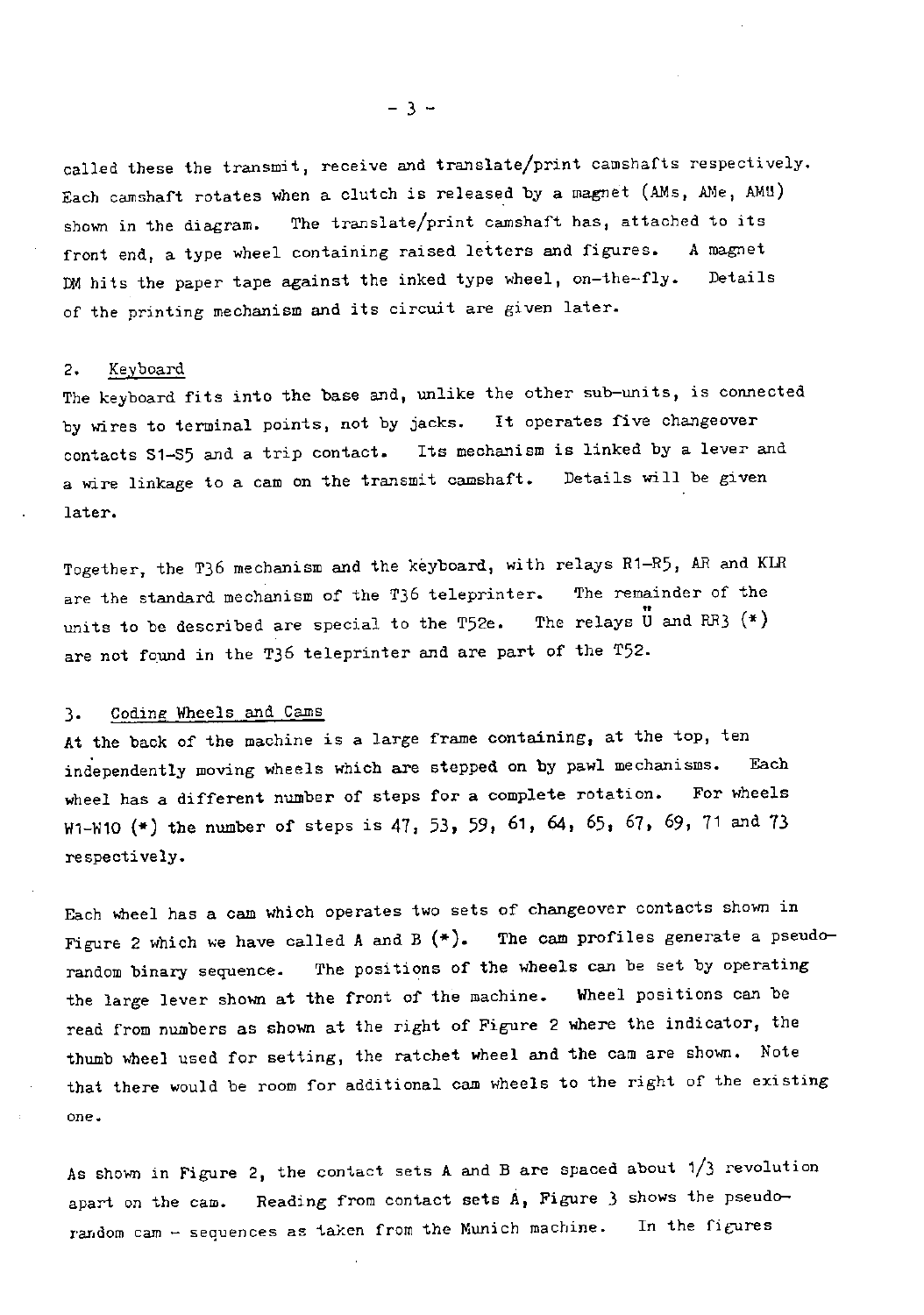called these the transmit, receive and translate/print camshafts respectively. Each camshaft rotates when a clutch is released by a magnet (AMs, AMe, AMU) shown in the diagram. The translate/print camshaft has, attached to its front end, a type wheel containing raised letters and figures. A magnet DM hits the paper tape against the inked type wheel, on-the-fly. Details of the printing mechanism and its circuit are given later.

### 2. Keyboard

The keyboard fits into the base and, unlike the other sub-units, is connected by wires to terminal points, not by jacks. It operates five changeover<br>contacts S1-S5 and a trip contact. Its mechanism is linked by a lever and contacts S1-S5 and a trip contact. a wire linkage to a cam on the transmit camshaft. Details will be given later.

Together, the T36 mechanism and the keyboard, with relays R1-R5, AR and KLR are the standard mechanism of the T36 teleprinter. The remainder of the units to be described are special to the T52e. The relays  $\overline{U}$  and RR3  $(*)$ are not found in the T36 teleprinter and are part of the T52.

### 3. Coding Wheels and Cams

At the back of the machine is a large frame containing, at the top, ten independently moving wheels which are stepped on by pawl mechanisms. Each wheel has a different number of steps for a complete rotation. For wheels W1-W10 (\*) the number of steps is 47, 53, 59, 61, 64, 65, 67, 69, 71 and 73 respectively.

Each wheel has a cam which operates two sets of changeover contacts shown in Figure 2 which we have called A and B  $(*)$ . The cam profiles generate a pseudorandom binary sequence. The positions of the wheels can be set by operating the large lever shown at the front of the machine. Wheel positions can be read from numbers as shown at the right of Figure 2 where the indicator, the thumb wheel used for setting, the ratchet wheel and the cam are shown. Note that there would be room for additional cam wheels to the right of the existing one.

As shown in Figure 2, the contact sets A and B are spaced about 1/3 revolution apart on the cam. Reading from contact sets A, Figure 3 shows the pseudorandom cam  $-$  sequences as taken from the Munich machine. In the figures

 $- 3 -$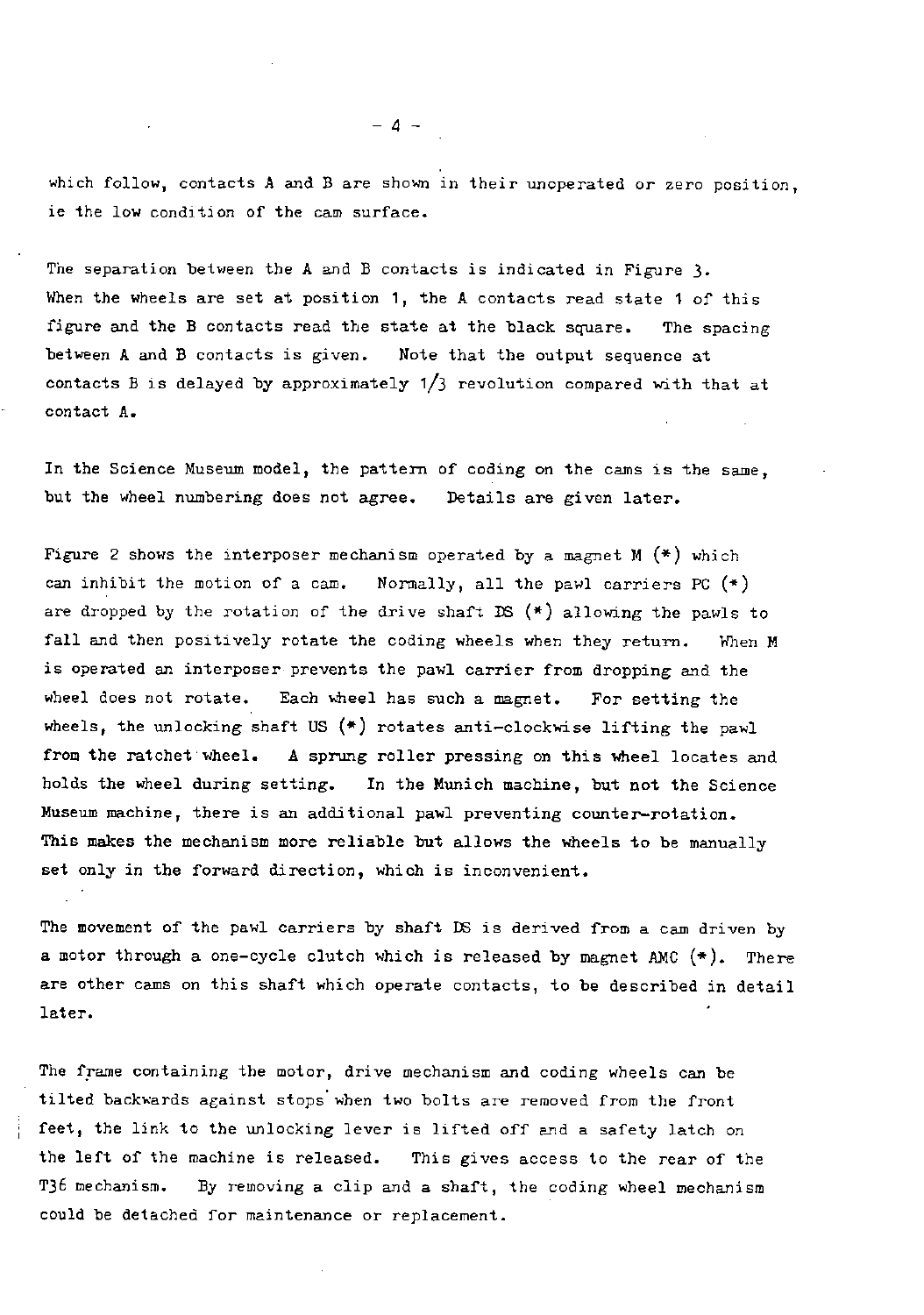which follow, contacts A and B are shown in their unoperated or zero position, ie the low condition of the cam surface.

The separation between the A and B contacts is indicated in Figure 3. When the wheels are set at position 1, the A contacts read state 1 of this figure and the B contacts read the state at the black square. The spacing between A and B contacts is given. Note that the output sequence at contacts B is delayed by approximately 1/3 revolution compared with that at contact A.

In the Science Museum model, the pattern of coding on the cams is the same, but the wheel numbering does not agree. Details are given later.

Figure 2 shows the interposer mechanism operated by a magnet  $M$  (\*) which can inhibit the motion of a cam. Normally, all the pawl carriers PC  $(*)$ are dropped by the rotation of the drive shaft DS  $(*)$  allowing the pawls to fall and then positively rotate the coding wheels when they return. When M is operated an interposer prevents the pawl carrier from dropping and the wheel does not rotate. Each wheel has such a magnet. For setting the wheels, the unlocking shaft US  $(*)$  rotates anti-clockwise lifting the pawl from the ratchet wheel. A sprung roller pressing on this wheel locates and holds the wheel during setting. In the Munich machine, but not the Science Museum machine, there is an additional pawl preventing counter-rotation. This makes the mechanism more reliable but allows the wheels to be manually set only in the forward direction, which is inconvenient.

The movement of the pawl carriers by shaft DS is derived from a cam driven by a motor through a one-cycle clutch which is released by magnet AMC  $(*)$ . There are other cams on this shaft which operate contacts, to be described in detail later.

The frame containing the motor, drive mechanism and coding wheels can be tilted backwards against stops when two bolts are removed from the front feet, the link to the unlocking lever is lifted off and a safety latch on the left of the machine is released. This gives access to the rear of the T36 mechanism. By removing a clip and a shaft, the coding wheel mechanism could be detached for maintenance or replacement.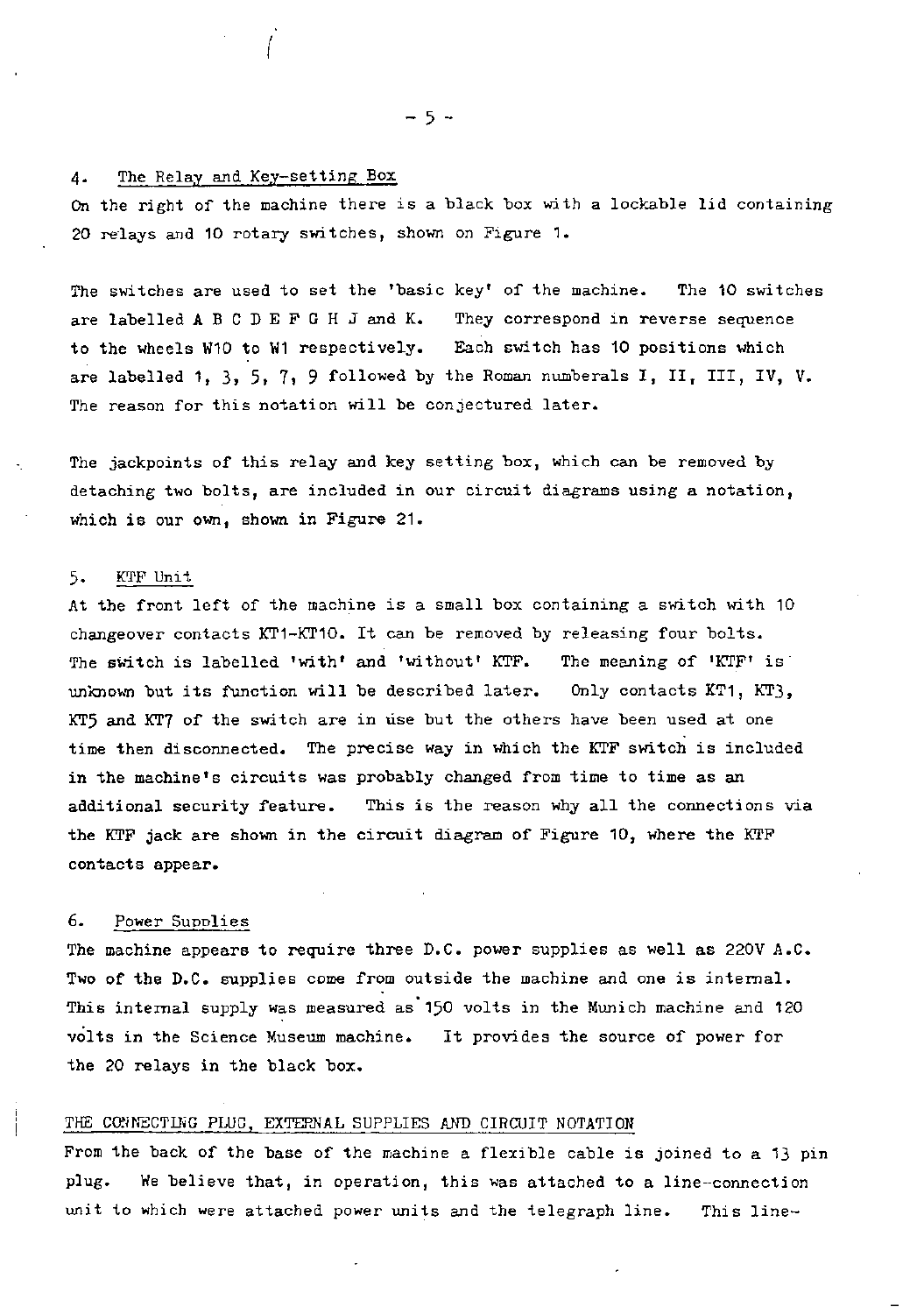4. The Relay and Key-setting Box

On the right of the machine there is a black box with a lockable lid containing 20 relays and 10 rotary switches, shown on Figure 1.

The switches are used to set the 'basic key' of the machine. The 10 switches are labelled ABCDEFGHJ and K. They correspond in reverse sequence to the wheels W10 to W1 respectively. Each switch has 10 positions which are labelled 1, 3, 5, 7, 9 followed by the Roman numberals I, II, III, IV, V. The reason for this notation will be conjectured later.

The jackpoints of this relay and key setting box, which can be removed by detaching two bolts, are included in our circuit diagrams using a notation, which is our own, shown in Figure 21.

### 5. KTF Unit

At the front left of the machine is a small box containing a switch with 10 changeover contacts KT1-KT10. It can be removed by releasing four bolts. The switch is labelled 'with' and 'without' KTF. The meaning of 'KTF' is unknown but its function will be described later. Only contacts KT1, KT3, KT5 and KT7 of the switch are in use but the others have been used at one time then disconnected. The precise way in which the KTF switch is included in the machine's circuits was probably changed from time to time as an additional security feature. This is the reason why all the connections via the KTF jack are shown in the circuit diagram of Figure 10, where the KTF contacts appear.

### 6. Power Supplies

The machine appears to require three D.C. power supplies as well as 220V A.C. Two of the D.C. supplies come from outside the machine and one is internal. This internal supply was measured as 150 volts in the Munich machine and 120 volts in the Science Museum machine. It provides the source of power for the 20 relays in the black box.

### THE CONNECTING PLUC, EXTERNAL SUPPLIES AND CIRCUIT NOTATION

From the back of the base of the machine a flexible cable is joined to a 13 pin plug. We believe that, in operation, this was attached to a line-connection unit to which were attached power units and the telegraph line. This line-

 $-5 -$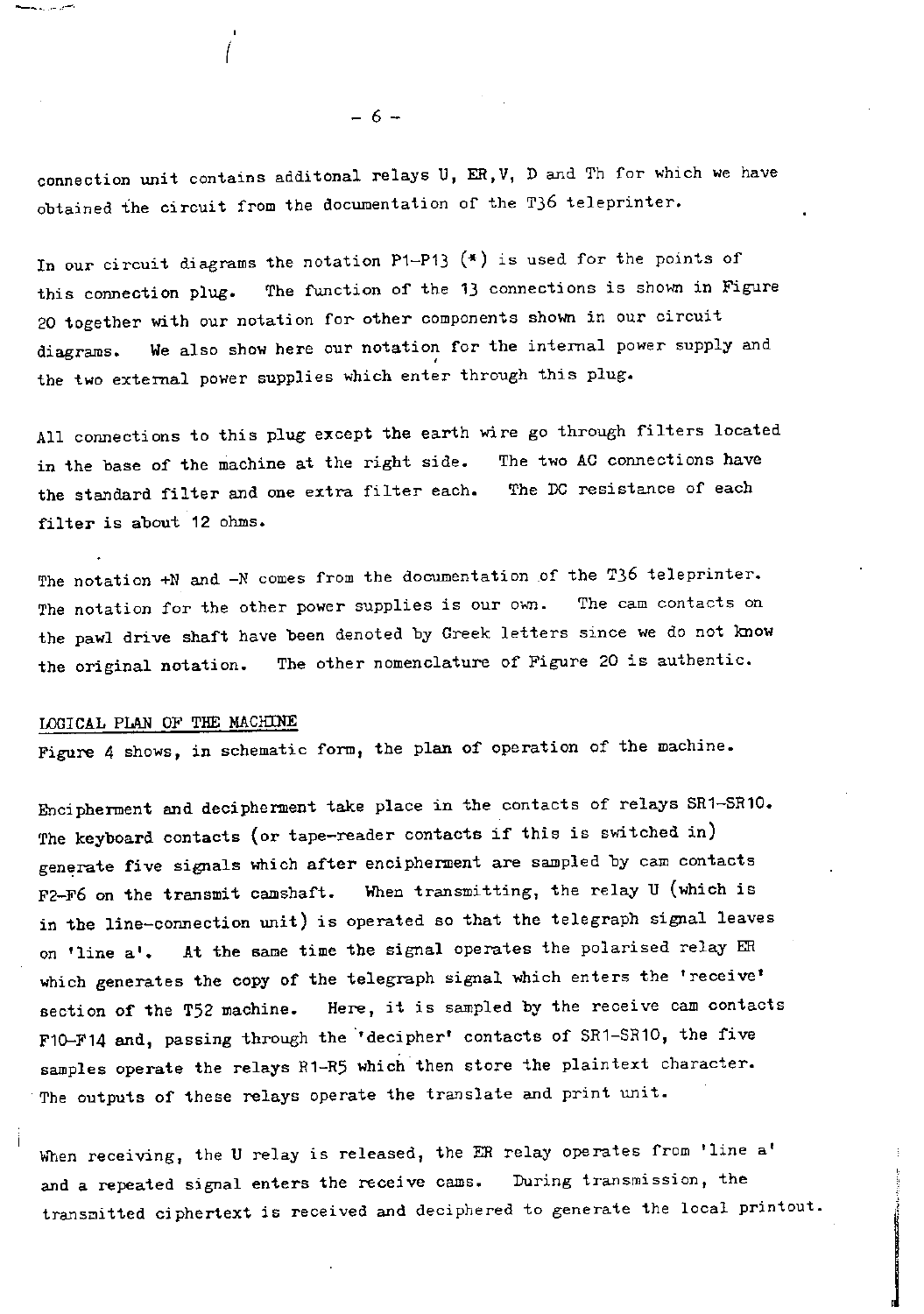connection unit contains additonal relays U, ER,V, D and Th for which we have obtained the circuit from the documentation of the T36 teleprinter.

In our circuit diagrams the notation P1-P13  $(*)$  is used for the points of this connection plug. The function of the 13 connections is shown in Figure 20 together with our notation for other components shown in our circuit diagrams. We also show here our notation for the internal power supply and the two external power supplies which enter through this plug.

All connections to this plug except the earth wire go through filters located in the base of the machine at the right side. The two AC connections have the standard filter and one extra filter each. The DC resistance of each filter is about 12 ohms.

The notation +N and -N comes from the documentation of the T36 teleprinter. The notation for the other power supplies is our own. The cam contacts on the pawl drive shaft have been denoted by Greek letters since we do not know the original notation. The other nomenclature of Figure 20 is authentic.

### LOGICAL PLAN OF THE MACHINE

Figure 4 shows, in schematic form, the plan of operation of the machine.

Encipherment and decipherment take place in the contacts of relays SR1-SR10. The keyboard contacts (or tape-reader contacts if this is switched in) generate five signals which after encipherment are sampled by cam contacts F2-F6 on the transmit camshaft. When transmitting, the relay U (which is in the line-connection unit) is operated so that the telegraph signal leaves on 'line a1. At the same time the signal operates the polarised relay ER which generates the copy of the telegraph signal which enters the 'receive' section of the T52 machine. Here, it is sampled by the receive cam contacts F10-F14 and, passing through the 'decipher' contacts of SR1-SR10, the five samples operate the relays R1-R5 which then store the plaintext character. The outputs of these relays operate the translate and print unit.

When receiving, the U relay is released, the ER relay operates from 'line a' and a repeated signal enters the receive cams. During transmission, the transmitted ciphertext is received and deciphered to generate the local printout.

- 6 -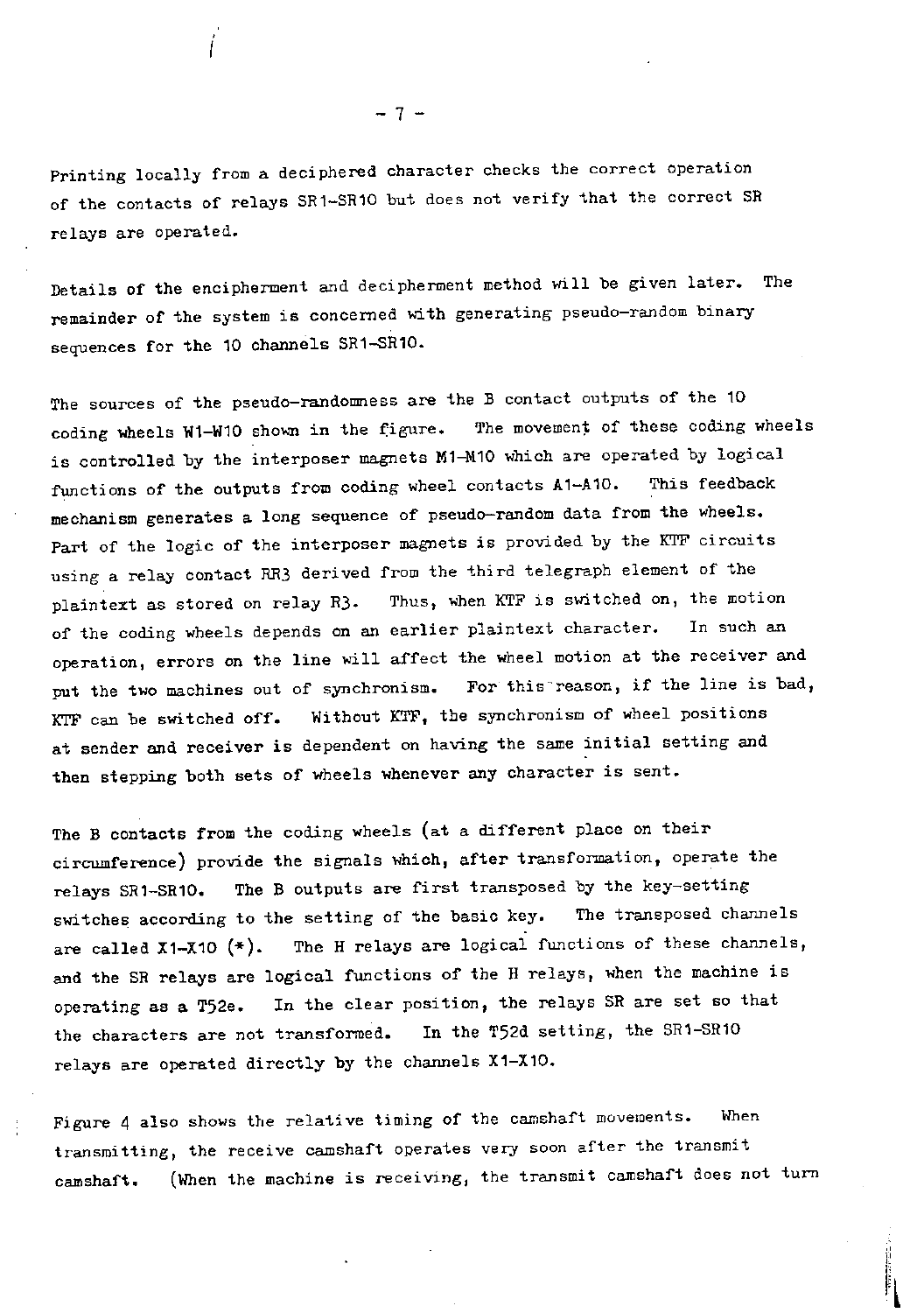Printing locally from a deciphered character checks the correct operation of the contacts of relays SR1-SR10 but does not verify that the correct SR relays are operated.

Details of the encipherment and decipherment method will be given later. The remainder of the system is concerned with generating pseudo-random binary sequences for the 10 channels SR1-SR10.

The sources of the pseudo-randomness are the B contact outputs of the 10 coding wheels W1-W10 shown in the figure. The movement of these coding wheels is controlled by the interposer magnets M1-M10 which are operated by logical functions of the outputs from coding wheel contacts A1-A10. This feedback mechanism generates a long sequence of pseudo-random data from the wheels. Part of the logic of the interposer magnets is provided by the KTF circuits using a relay contact RR3 derived from the third telegraph element of the plaintext as stored on relay R3. Thus, when KTF is switched on, the motion of the coding wheels depends on an earlier plaintext character. In such an operation, errors on the line will affect the wheel motion at the receiver and<br>mut the two machines out of synchronism. For this reason, if the line is bad, put the two machines out of synchronism. KTF can be switched off. Without KTF, the synchronism of wheel positions at sender and receiver is dependent on having the same initial setting and then stepping both sets of wheels whenever any character is sent.

The B contacts from the coding wheels (at a different place on their circumference) provide the signals which, after transformation, operate the relays SR1-SR10. The B outputs are first transposed by the key-setting switches according to the setting of the basic key. The transposed channels are called  $X1-X10$  (\*). The H relays are logical functions of these channels, and the SR relays are logical functions of the H relays, when the machine is operating as a T52e. In the clear position, the relays SR are set so that the characters are not transformed. In the T52d setting, the SR1-SR10 relays are operated directly by the channels X1-X10.

Figure 4 also shows the relative timing of the camshaft movements. When transmitting, the receive camshaft operates very soon after the transmit camshaft. (When the machine is receiving, the transmit camshaft does not turn

 $\ddot{\phantom{a}}$ 

- 7 -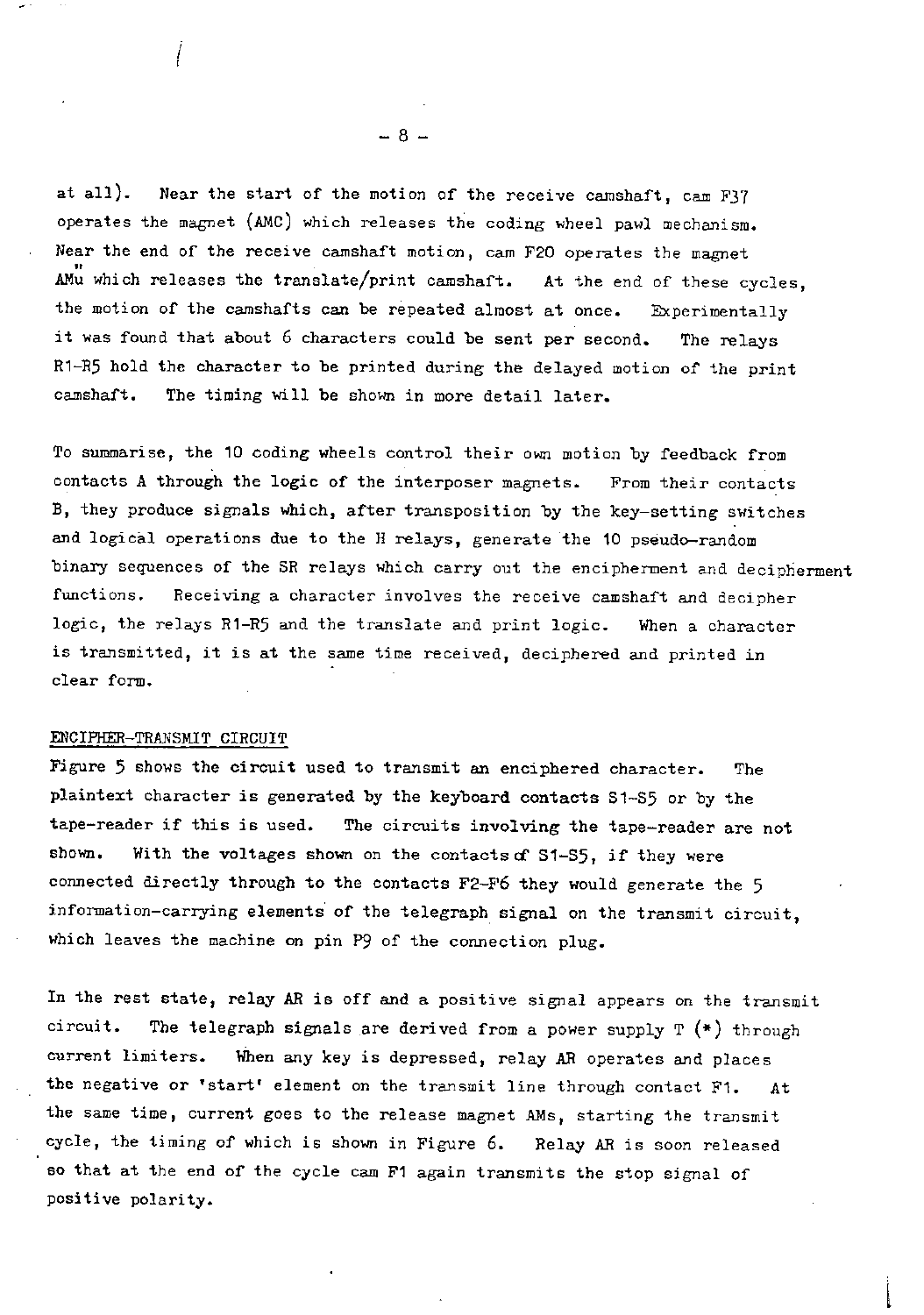at all). Near the start of the motion of the receive camshaft, cam F37 operates the magnet (AMC) which releases the coding wheel pawl mechanism. Near the end of the receive camshaft motion, cam F20 operates the magnet AMu which releases the translate/print camshaft. At the end of these cycles, the motion of the camshafts can be repeated almost at once. Experimentally it was found that about 6 characters could be sent per second. The relays R1-R5 hold the character to be printed during the delayed motion of the print camshaft. The timing will be shown in more detail later.

To summarise, the 10 coding wheels control their own motion by feedback from contacts A through the logic of the interposer magnets. From their contacts B, they produce signals which, after transposition by the key-setting switches and logical operations due to the H relays, generate the 10 pseudo-random binary sequences of the SR relays which carry out the encipherment and decipherment functions. Receiving a character involves the receive camshaft and decipher logic, the relays R1-R5 and the translate and print logic. When a character is transmitted, it is at the same time received, deciphered and printed in clear form.

### ENCIFHER-TRANSMIT CIRCUIT

Figure 5 shows the circuit used to transmit an enciphered character. The plaintext character is generated by the keyboard contacts S1-S5 or by the tape-reader if this is used. The circuits involving the tape-reader are not shown. With the voltages shown on the contacts of S1-S5, if they were connected directly through to the contacts F2-F6 they would generate the 5 information-carrying elements of the telegraph signal on the transmit circuit, which leaves the machine on pin P9 of the connection plug.

In the rest state, relay AR is off and a positive signal appears on the transmit circuit. The telegraph signals are derived from a power supply  $T$  (\*) through current limiters. When any key is depressed, relay AR operates and places the negative or 'start' element on the transmit line through contact F1. At the same time, current goes to the release magnet AMs, starting the transmit cycle, the timing of which is shown in Figure 6. Relay AR is soon released so that at the end of the cycle cam F1 again transmits the stop signal of positive polarity.

 $- 8 -$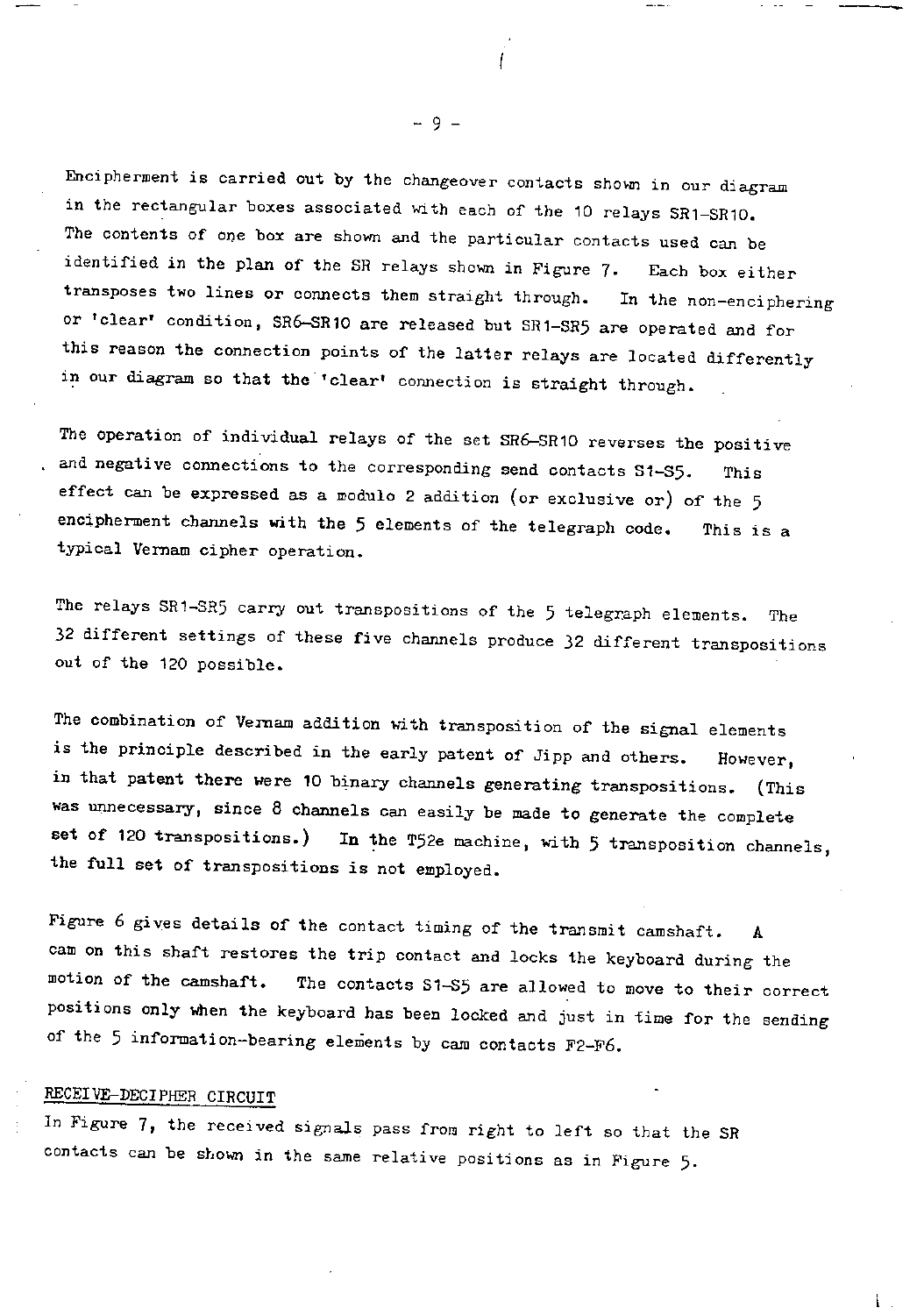Encipherment is carried out by the changeover contacts shown in our diagram in the rectangular boxes associated with each of the 10 relays SR1-SR10. The contents of one box are shown and the particular contacts used can be identified in the plan of the SR relays shown in Figure 7. Each box either transposes two lines or connects them straight through. In the non-enciphering or 'clear' condition, SR6-SR10 are released but SR1-SR5 are operated and for this reason the connection points of the latter relays are located differently in our diagram so that the 'clear' connection is straight through.

The operation of individual relays of the set SR6-SR10 reverses the positive and negative connections to the corresponding send contacts S1-S5. This effect can be expressed as a modulo 2 addition (or exclusive or) of the 5 encipherment channels with the 5 elements of the telegraph code. This is a typical Vernam cipher operation.

The relays SR1-SR5 carry out transpositions of the 5 telegraph elements. The 32 different settings of these five channels produce 32 different transpositions out of the 120 possible.

The combination of Vernam addition with transposition of the signal elements is the principle described in the early patent of Jipp and others. However, in that patent there were 10 binary channels generating transpositions. (This was unnecessary, since 8 channels can easily be made to generate the complete set of 120 transpositions.) In the T52e machine, with 5 transposition channels, the full set of transpositions is not employed.

Figure 6 gives details of the contact timing of the transmit camshaft. A cam on this shaft restores the trip contact and locks the keyboard during the motion of the camshaft. The contacts S1-S5 are allowed to move to their correct positions only when the keyboard has been locked and just in time for the sending of the 5 information-bearing elements by cam contacts F2-F6.

### RECEIVE-DECIPHER CIRCUIT

In Figure 7, the received signals pass from right to left so that the SR contacts can be shown in the same relative positions as in Figure 5.

- 9 -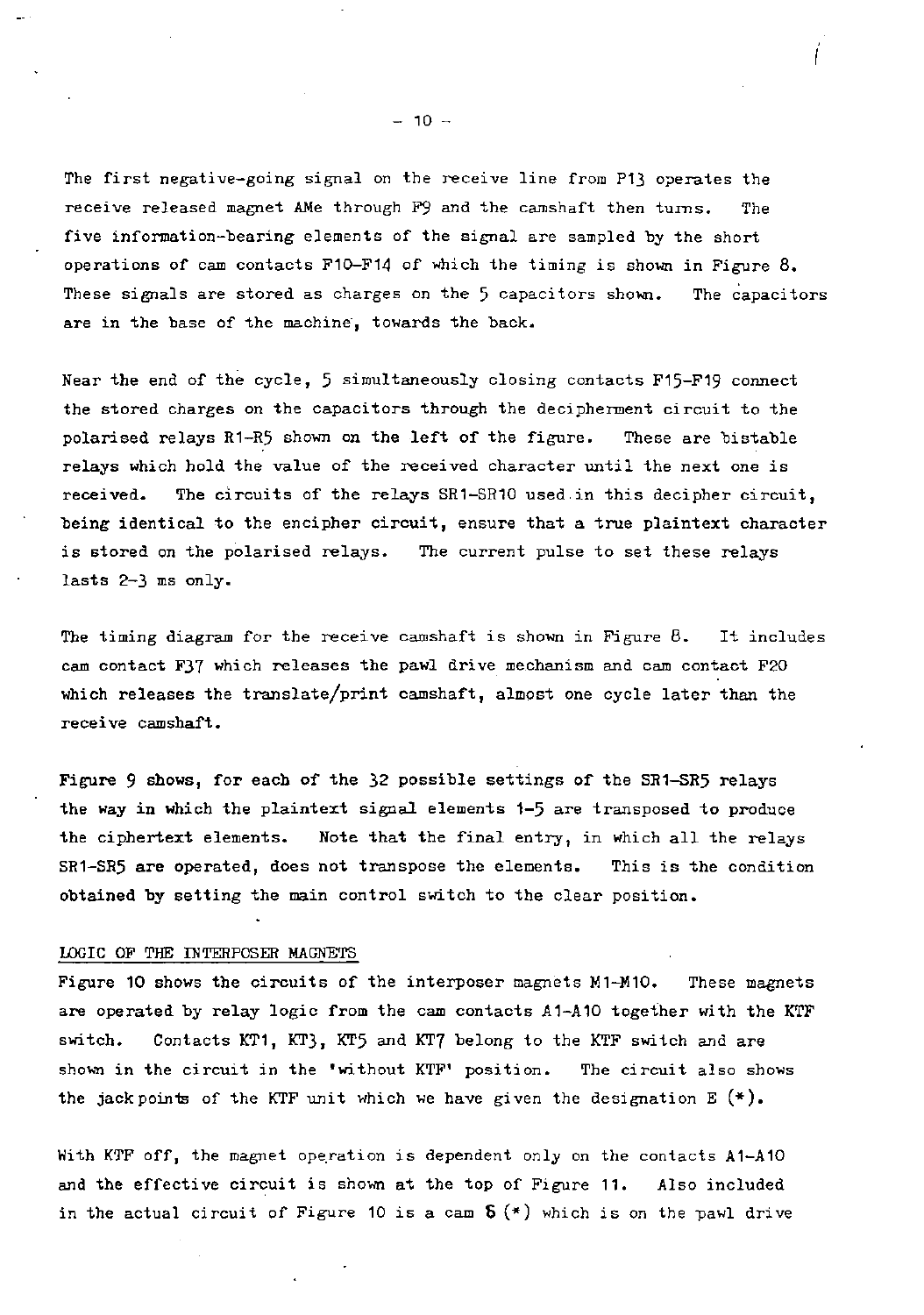The first negative-going signal on the receive line from P13 operates the receive released magnet AMe through F9 and the camshaft then turns. The five information-bearing elements of the signal are sampled by the short operations of cam contacts F10-F14 of which the timing is shown in Figure 8. These signals are stored as charges on the 5 capacitors shown. The capacitors are in the base of the machine, towards the back.

Near the end of the cycle, 5 simultaneously closing contacts F15-F19 connect the stored charges on the capacitors through the decipherment circuit to the polarised relays R1-R5 shown on the left of the figure. These are bistable relays which hold the value of the received character until the next one is received. The circuits of the relays SR1-SR10 used in this decipher circuit, being identical to the encipher circuit, ensure that a true plaintext character is stored on the polarised relays. The current pulse to set these relays lasts 2-3 ms only.

The timing diagram for the receive camshaft is shown in Figure 8. It includes cam contact F37 which releases the pawl drive mechanism and cam contact F20 which releases the translate/print camshaft, almost one cycle later than the receive camshaft.

Figure 9 shows, for each of the 32 possible settings of the SR1-SR5 relays the way in which the plaintext signal elements 1-5 are transposed to produce the ciphertext elements. Note that the final entry, in which all the relays SR1-SR5 are operated, does not transpose the elements. This is the condition obtained by setting the main control switch to the clear position.

### LOGIC OF THE INTERPOSER MAGNETS

Figure 10 shows the circuits of the interposer magnets M1-M10. These magnets are operated by relay logic from the cam contacts A1-A10 together with the KTF switch. Contacts KT1, KT3, KT5 and KT7 belong to the KTF switch and are shown in the circuit in the 'without KTF' position. The circuit also shows the jack points of the KTF unit which we have given the designation  $E$   $(*)$ .

With KTF off, the magnet operation is dependent only on the contacts A1-A10 and the effective circuit is shown at the top of Figure 11. Also included in the actual circuit of Figure 10 is a cam  $S$  (\*) which is on the pawl drive

 $- 10 -$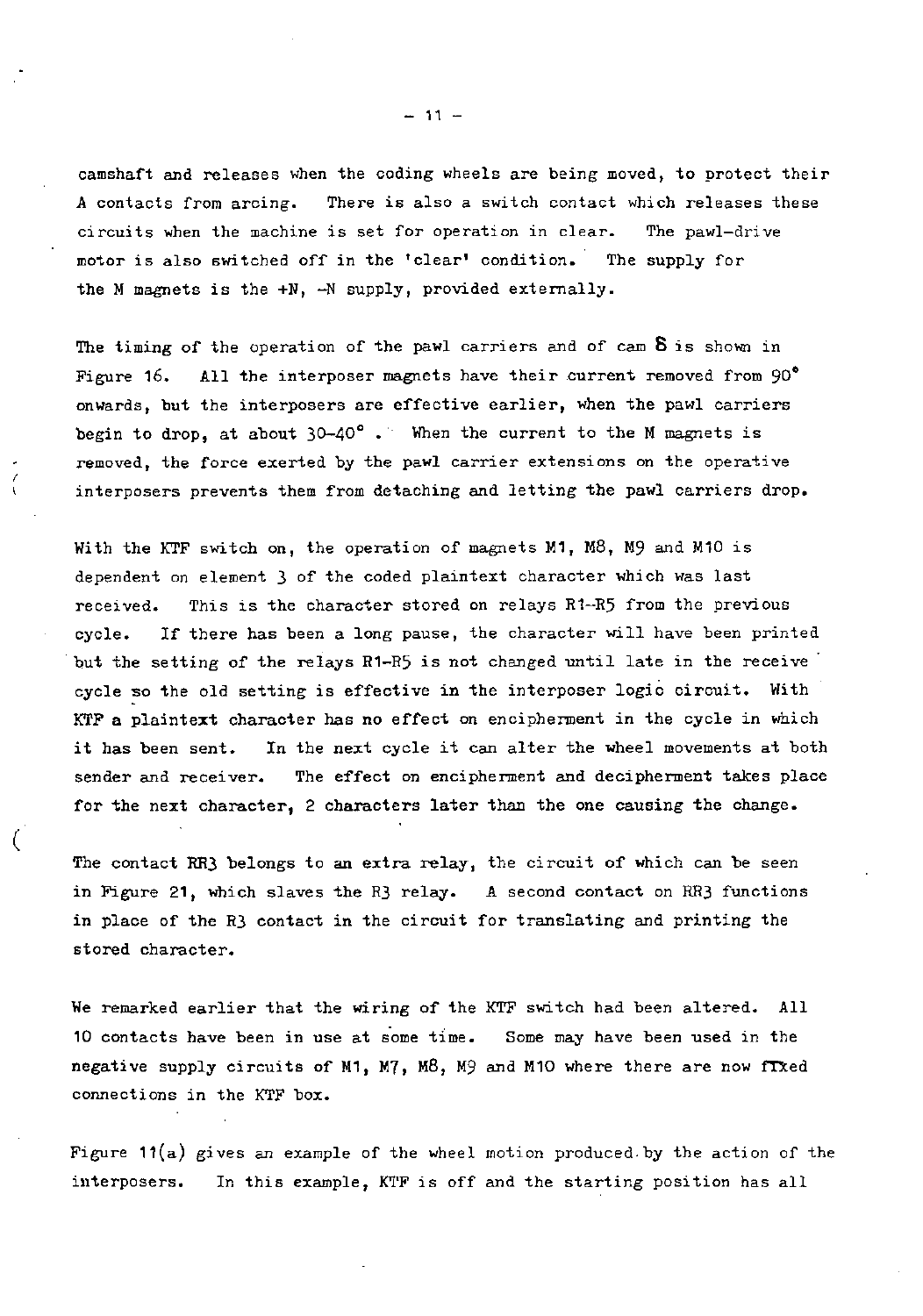camshaft and releases when the coding wheels are being moved, to protect their A contacts from arcing. There is also a switch contact which releases these circuits when the machine is set for operation in clear. The pawl-drive motor is also switched off in the 'clear' condition. The supply for the M magnets is the +N, -N supply, provided externally.

The timing of the operation of the pawl carriers and of cam  $S$  is shown in Figure 16. All the interposer magnets have their current removed from 90° onwards, but the interposers are effective earlier, when the pawl carriers begin to drop, at about  $30-40^\circ$ . When the current to the M magnets is removed, the force exerted by the pawl carrier extensions on the operative interposers prevents them from detaching and letting the pawl carriers drop.

With the KTF switch on, the operation of magnets M1, M8, M9 and M10 is dependent on element 3 of the coded plaintext character which was last received. This is the character stored on relays R1-R5 from the previous cycle. If there has been a long pause, the character will have been printed but the setting of the relays R1-R5 is not changed until late in the receive cycle so the old setting is effective in the interposer logic circuit. With KTF a plaintext character has no effect on encipherment in the cycle in which it has been sent. In the next cycle it can alter the wheel movements at both sender and receiver. The effect on encipherment and decipherment takes place for the next character, 2 characters later than the one causing the change.

The contact RR3 belongs to an extra relay, the circuit of which can be seen in Figure 21, which slaves the R3 relay. A second contact on RR3 functions in place of the R3 contact in the circuit for translating and printing the stored character.

We remarked earlier that the wiring of the KTF switch had been altered. All 10 contacts have been in use at some time. Some may have been used in the negative supply circuits of M1, M7, M8, M9 and M10 where there are now fTXed connections in the KTF box.

Figure  $11(a)$  gives an example of the wheel motion produced by the action of the interposers. In this example, KTF is off and the starting position has all

 $-11 -$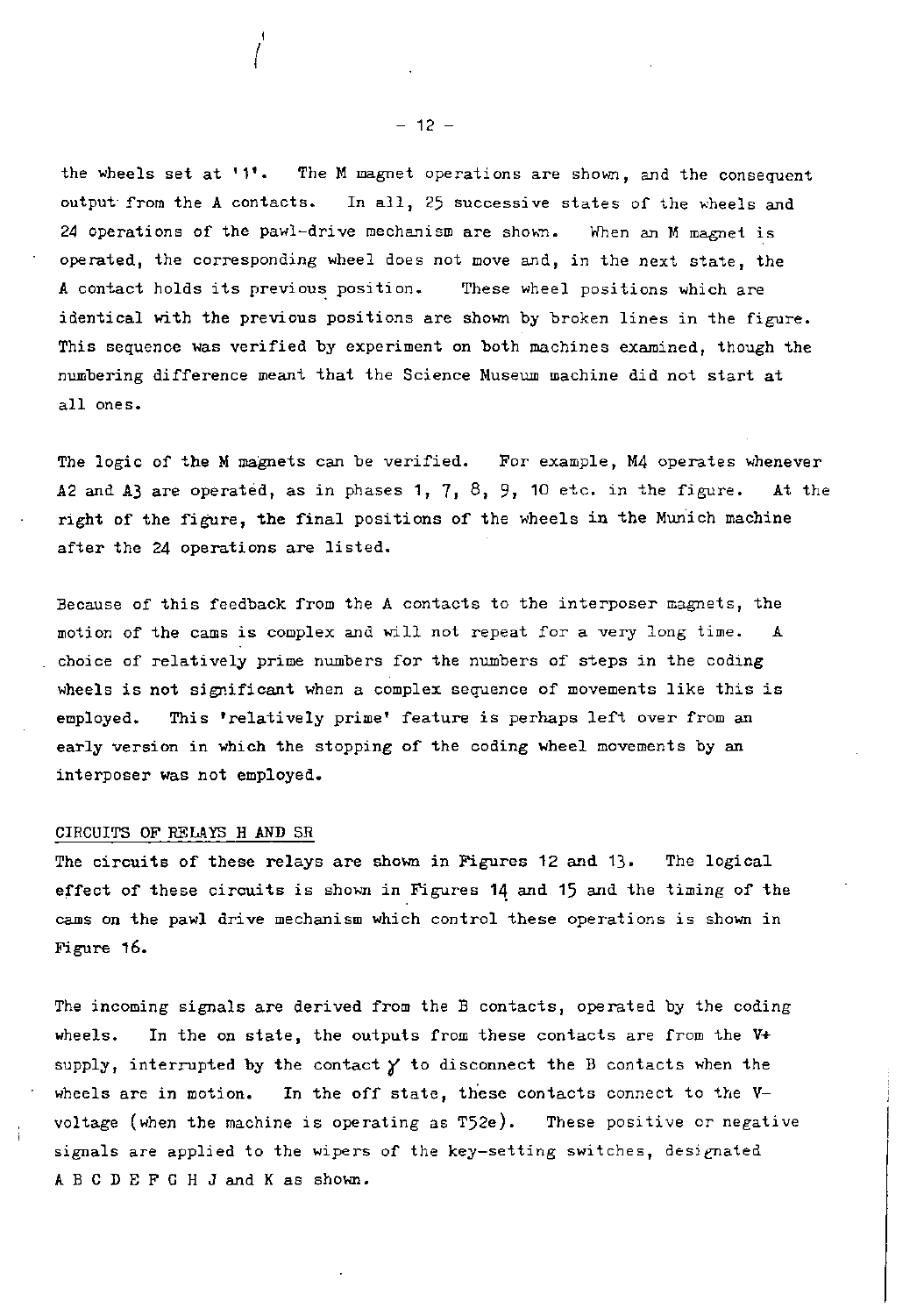the wheels set at '1'. The M magnet operations are shown, and the consequent output from the A contacts. In all, 25 successive states of the wheels and 24 operations of the pawl-drive mechanism are shown. When an M magnet is operated, the corresponding wheel does not move and, in the next state, the A contact holds its previous position. These wheel positions which are identical with the previous positions are shown by broken lines in the figure. This sequence was verified by experiment on both machines examined, though the numbering difference meant that the Science Museum machine did not start at all ones.

The logic of the M magnets can be verified. For example, M4 operates whenever A2 and A3 are operated, as in phases  $1, 7, 8, 9, 10$  etc. in the figure. At the right of the figure, the final positions of the wheels in the Munich machine after the 24 operations are listed.

Because of this feedback from the A contacts to the interposer magnets, the motion of the cams is complex and will not repeat for a very long time. A choice of relatively prime numbers for the numbers of steps in the coding wheels is not significant when a complex sequence of movements like this is employed. This 'relatively prime' feature is perhaps left over from an early version in which the stopping of the coding wheel movements by an interposer was not employed.

### CIRCUITS OF RELAYS H AND SR

The circuits of these relays are shown in Figures 12 and 13. The logical effect of these circuits is shown in Figures 14 and 15 and the timing of the cams on the pawl drive mechanism which control these operations is shown in Figure 16.

The incoming signals are derived from the B contacts, operated by the coding wheels. In the on state, the outputs from these contacts are from the V+ supply, interrupted by the contact  $\chi$  to disconnect the B contacts when the wheels are in motion. In the off state, these contacts connect to the Vvoltage (when the machine is operating as T52e). These positive or negative signals are applied to the wipers of the key-setting switches, designated A B C D E F G H J and K as shown.

 $- 12 -$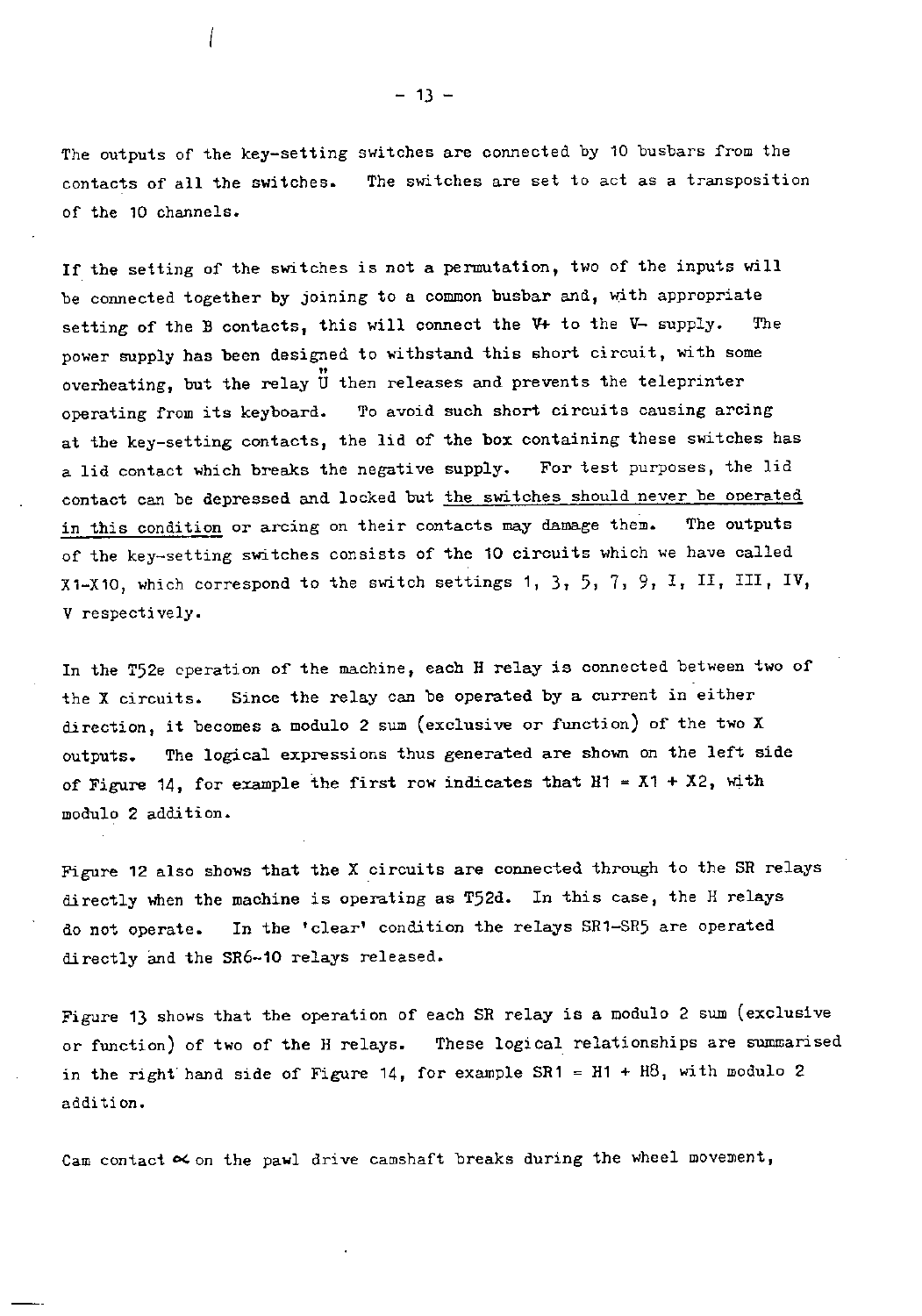The outputs of the key-setting switches are connected by 10 busbars from the contacts of all the switches. The switches are set to act as a transposition of the 10 channels.

If the setting of the switches is not a permutation, two of the inputs will be connected together by joining to a common busbar and, with appropriate setting of the B contacts, this will connect the V+ to the V- supply. The power supply has been designed to withstand this short circuit, with some overheating, but the relay U then releases and prevents the teleprinter operating from its keyboard. To avoid such short circuits causing arcing at the key-setting contacts, the lid of the box containing these switches has a lid contact which breaks the negative supply. For test purposes, the lid contact can be depressed and locked but the switches should never be operated in this condition or arcing on their contacts may damage them. The outputs of the key-setting switches consists of the 10 circuits which we have called X1-X10, which correspond to the switch settings 1, 3, 5, 7, 9, I, II, III, IV, V respectively.

In the T52e operation of the machine, each H relay is connected between two of the X circuits. Since the relay can be operated by a current in either direction, it becomes a modulo 2 sum (exclusive or function) of the two X outputs. The logical expressions thus generated are shown on the left side of Figure 14, for example the first row indicates that  $H1 = X1 + X2$ , with modulo 2 addition.

Figure 12 also shows that the X circuits are connected through to the SR relays directly when the machine is operating as T52d. In this case, the H relays do not operate. In the 'clear' condition the relays SR1-SR5 are operated directly and the SR6-10 relays released.

Figure 13 shows that the operation of each SR relay is a modulo 2 sum (exclusive or function) of two of the H relays. These logical relationships are summarised in the right hand side of Figure 14, for example  $SR1 = H1 + H8$ , with modulo 2 addition.

Cam contact  $\alpha$  on the pawl drive camshaft breaks during the wheel movement,

 $- 13 -$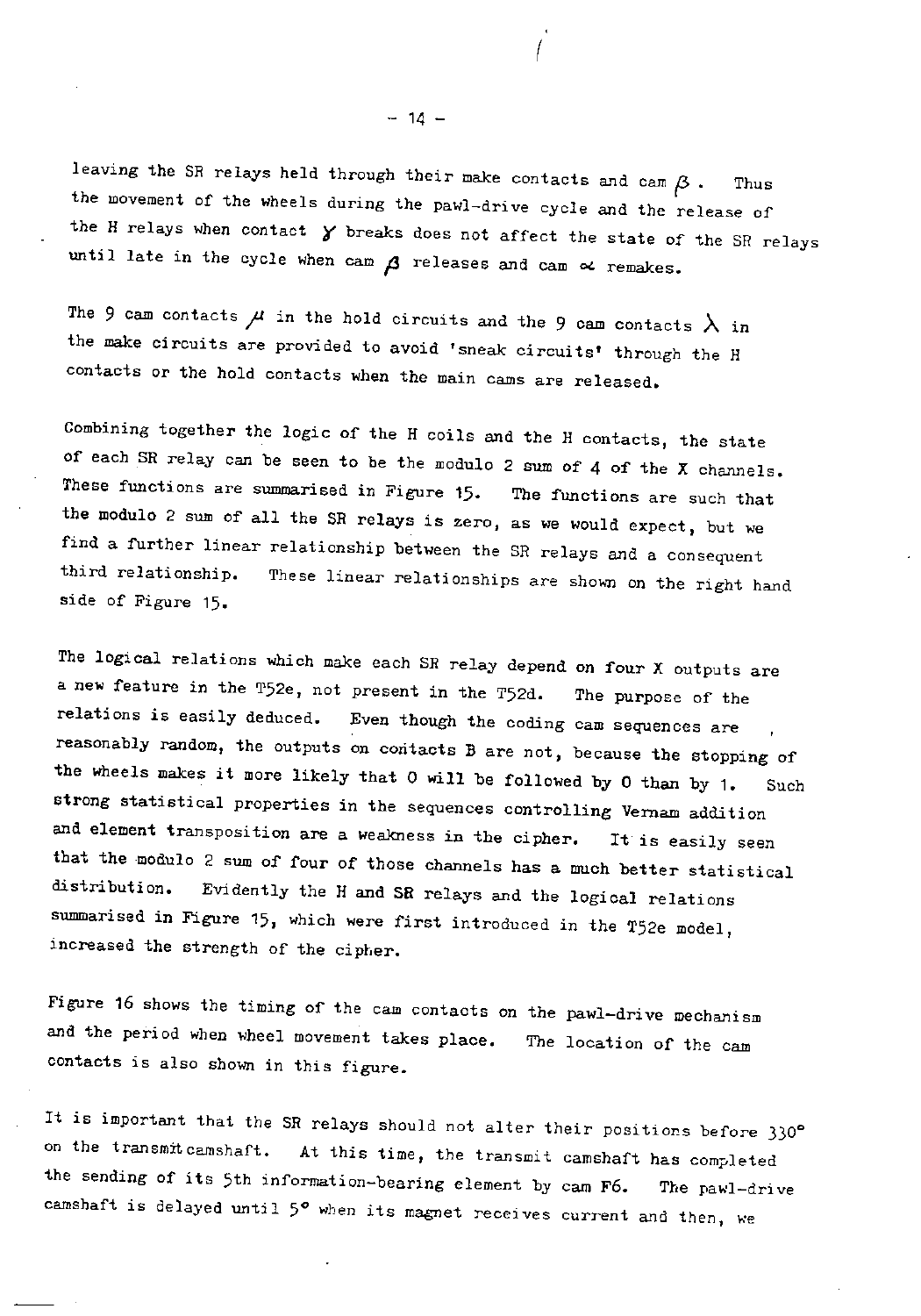leaving the SR relays held through their make contacts and cam  $\beta$ . Thus the movement of the wheels during the pawl-drive cycle and the release of the H relays when contact  $\gamma$  breaks does not affect the state of the SR relays until late in the cycle when cam  $\beta$  releases and cam  $\alpha$  remakes.

The 9 cam contacts  $\mu$  in the hold circuits and the 9 cam contacts  $\lambda$  in the make circuits are provided to avoid 'sneak circuits' through the H contacts or the hold contacts when the main cams are released.

Combining together the logic of the H coils and the H contacts, the state of each SR relay can be seen to be the modulo 2 sum of 4 of the X channels. These functions are summarised in Figure 15. The functions are such that the modulo 2 sum of all the SR relays is zero, as we would expect, but we find a further linear relationship between the SR relays and a consequent third relationship. These linear relationships are shown on the right hand side of Figure 15.

The logical relations which make each SR relay depend on four X outputs are a new feature in the T52e, not present in the T52d. The purpose of the relations is easily deduced. Even though the coding cam sequences are reasonably random, the outputs on contacts B are not, because the stopping of the wheels makes it more likely that 0 will be followed by 0 than by 1. Such strong statistical properties in the sequences controlling Vernam addition and element transposition are a weakness in the cipher. It is easily seen that the modulo 2 sum of four of those channels has a much better statistical distribution. Evidently the H and SR relays and the logical relations summarised in Figure 15, which were first introduced in the T52e model, increased the strength of the cipher.

Figure 16 shows the timing of the cam contacts on the pawl-drive mechanism and the period when wheel movement takes place. The location of the cam contacts is also shown in this figure.

It is important that the SR relays should not alter their positions before 330° on the transmit camshaft. At this time, the transmit camshaft has completed the sending of its 5th information-bearing element by cam F6. The pawl-drive camshaft is delayed until  $5^{\circ}$  when its magnet receives current and then, we

 $-14 -$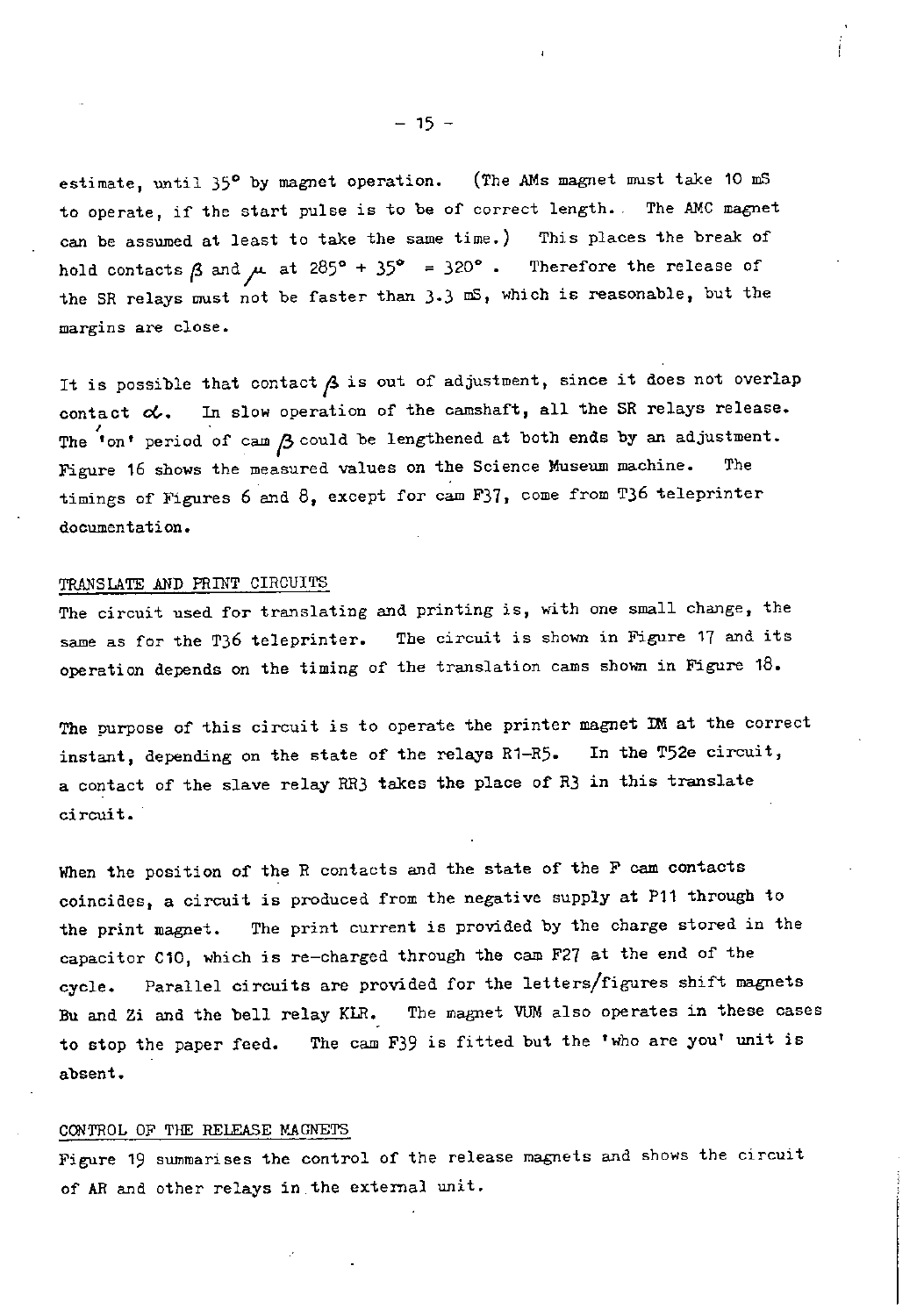estimate, until 35° by magnet operation. (The AMs magnet must take 10 mS to operate, if the start pulse is to be of correct length. . The AMC magnet can be assumed at least to take the same time.) This places the break of hold contacts  $\beta$  and  $\mu$  at 285° + 35° = 320°. Therefore the release of the SR relays must not be faster than  $3.3$  mS, which is reasonable, but the margins are close.

It is possible that contact  $\beta$  is out of adjustment, since it does not overlap contact  $\alpha$ . In slow operation of the camshaft, all the SR relays release. The 'on' period of cam  $\beta$  could be lengthened at both ends by an adjustment. Figure 16 shows the measured values on the Science Museum machine. The timings of Figures 6 and 8, except for cam F37, come from T36 teleprinter documentation.

### TRANSLATE AND PRINT CIRCUITS

The circuit used for translating and printing is, with one small change, the same as for the T36 teleprinter. The circuit is shown in Figure 17 and its operation depends on the timing of the translation cams shown in Figure 18.

The purpose of this circuit is to operate the printer magnet IM at the correct instant, depending on the state of the relays R1-R5. In the T52e circuit, a contact of the slave relay RR3 takes the place of R3 in this translate circuit.

When the position of the R contacts and the state of the F cam contacts coincides, a circuit is produced from the negative supply at P11 through to the print magnet. The print current is provided by the charge stored in the capacitor C10, which is re-charged through the cam F27 at the end of the cycle. Parallel circuits are provided for the letters/figures shift magnets Bu and Zi and the bell relay KLR. The magnet VUM also operates in these cases to stop the paper feed. The cam F39 is fitted but the 'who are you' unit is absent.

### CONTROL OF THE RELEASE MAGNETS

Figure 19 summarises the control of the release magnets and shows the circuit of AR and other relays in.the external unit.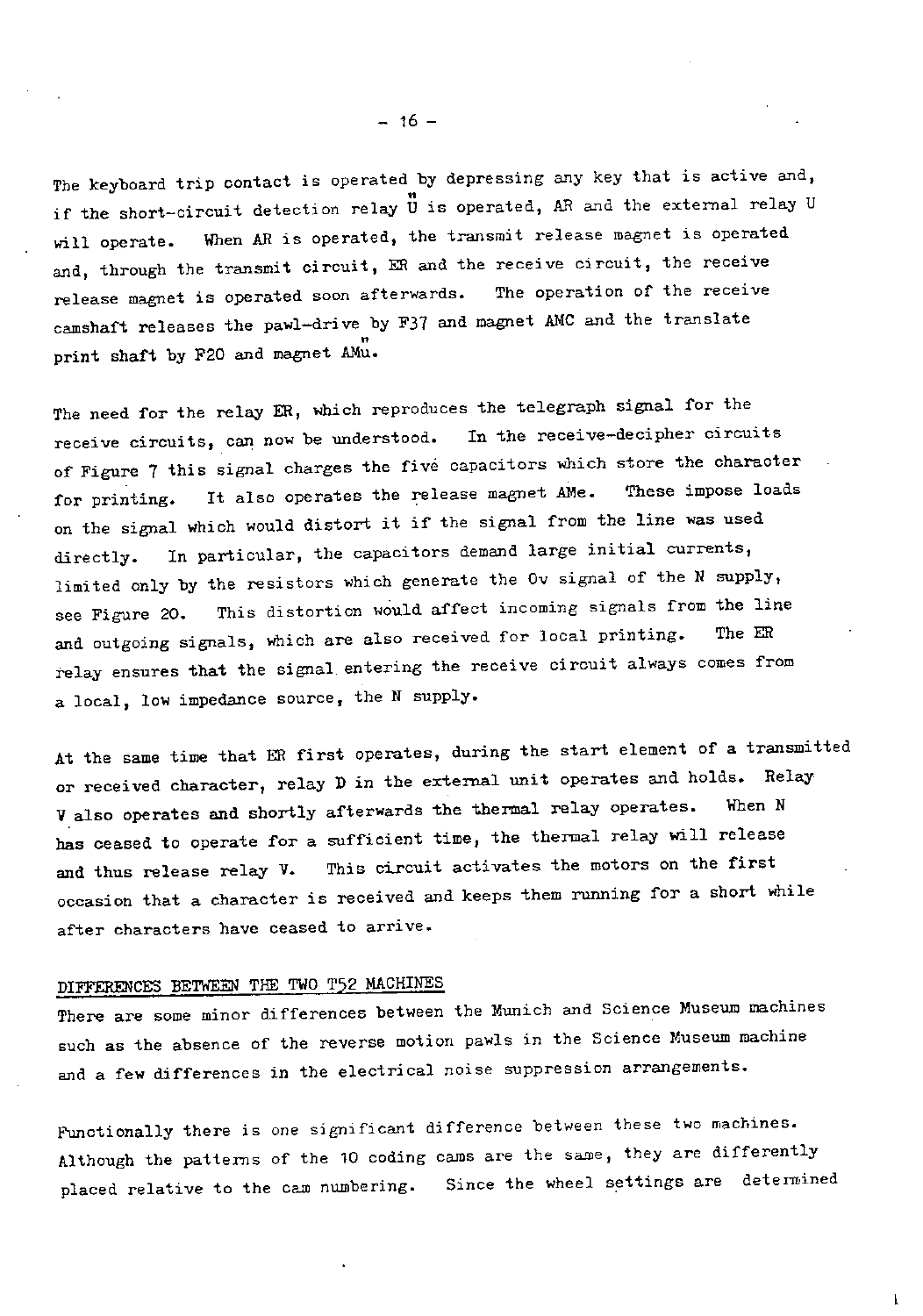The keyboard trip contact is operated by depressing any key that is active and, if the short-circuit detection relay U is operated, AR and the external relay U will operate. When AR is operated, the transmit release magnet is operated and, through the transmit circuit, ER and the receive circuit, the receive<br>release magnet is operated soon afterwards. The operation of the receive release magnet is operated soon afterwards. camshaft releases the pawl-drive by F37 and magnet AMC and the translate print shaft by F20 and magnet AMu.

The need for the relay ER, which reproduces the telegraph signal for the receive circuits, can now be understood. In the receive-decipher circuits of Figure 7 this signal charges the five capacitors which store the character for printing. It also operates the release magnet AMe. These impose loads on the signal which would distort it if the signal from the line was used directly. In particular, the capacitors demand large initial currents, limited only by the resistors which generate the Ov signal of the N supply, see Figure 20. This distortion would affect incoming signals from the line and outgoing signals, which are also received for local printing. relay ensures that the signal entering the receive circuit always comes from a local, low impedance source, the N supply.

At the same time that ER first operates, during the start element of a transmitted or received character, relay D in the external unit operates and holds. Relay V also operates and shortly afterwards the thermal relay operates. When N has ceased to operate for a sufficient time, the thermal relay will release and thus release relay V. This circuit activates the motors on the first occasion that a character is received and keeps them running for a short while after characters have ceased to arrive.

## DIFFERENCES BETWEEN THE TWO T52 MACHINES

There are some minor differences between the Munich and Science Museum machines such as the absence of the reverse motion pawls in the Science Museum machine and a few differences in the electrical noise suppression arrangements.

Functionally there is one significant difference between these two machines. Although the patterns of the 10 coding cams are the same, they are differently placed relative to the cam numbering. Since the wheel settings are determined

 $- 16 -$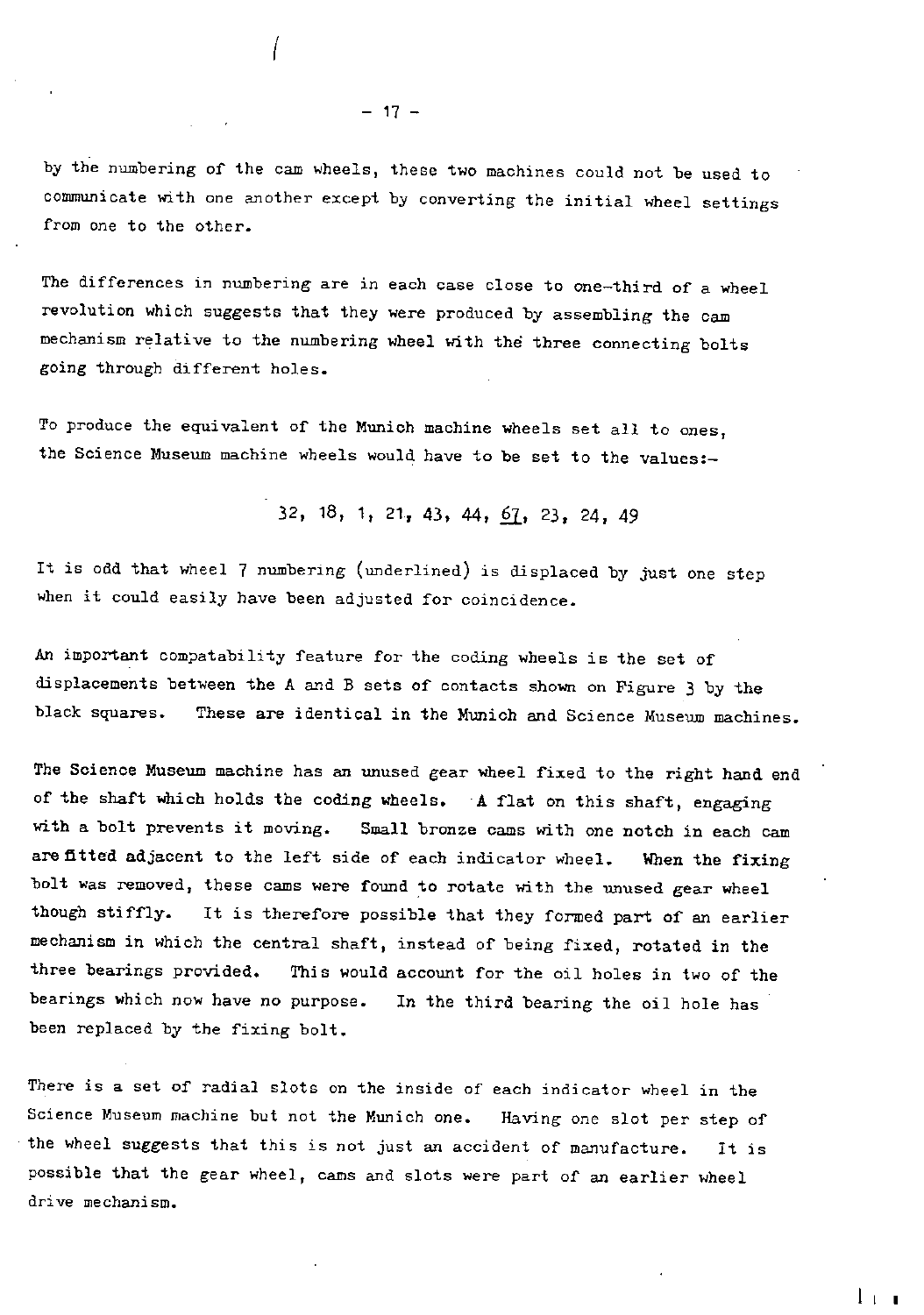by the numbering of the cam wheels, these two machines could not be used to communicate with one another except by converting the initial wheel settings from one to the other.

The differences in numbering are in each case close to one-third of a wheel revolution which suggests that they were produced by assembling the cam mechanism relative to the numbering wheel with the three connecting bolts going through different holes.

To produce the equivalent of the Munich machine wheels set all to ones, the Science Museum machine wheels would have to be set to the values:-

32, 18, 1, 21, 43, 44, 61, 23, 24, 49

It is odd that wheel 7 numbering (underlined) is displaced by just one step when it could easily have been adjusted for coincidence.

An important compatability feature for the coding wheels is the set of displacements between the A and B sets of contacts shown on Figure 3 by the black squares. These are identical in the Munich and Science Museum machines.

The Science Museum machine has an unused gear wheel fixed to the right hand end of the shaft which holds the coding wheels. A flat on this shaft, engaging with a bolt prevents it moving. Small bronze cams with one notch in each cam are fitted adjacent to the left side of each indicator wheel. When the fixing bolt was removed, these cams were found to rotate with the unused gear wheel though stiffly. It is therefore possible that they formed part of an earlier mechanism in which the central shaft, instead of being fixed, rotated in the three bearings provided. This would account for the oil holes in two of the bearings which now have no purpose. In the third bearing the oil hole has been replaced by the fixing bolt.

There is a set of radial slots on the inside of each indicator wheel in the Science Museum machine but not the Munich one. Having one slot per step of the wheel suggests that this is not just an accident of manufacture. It is possible that the gear wheel, cams and slots were part of an earlier wheel drive mechanism.

 $l + 1$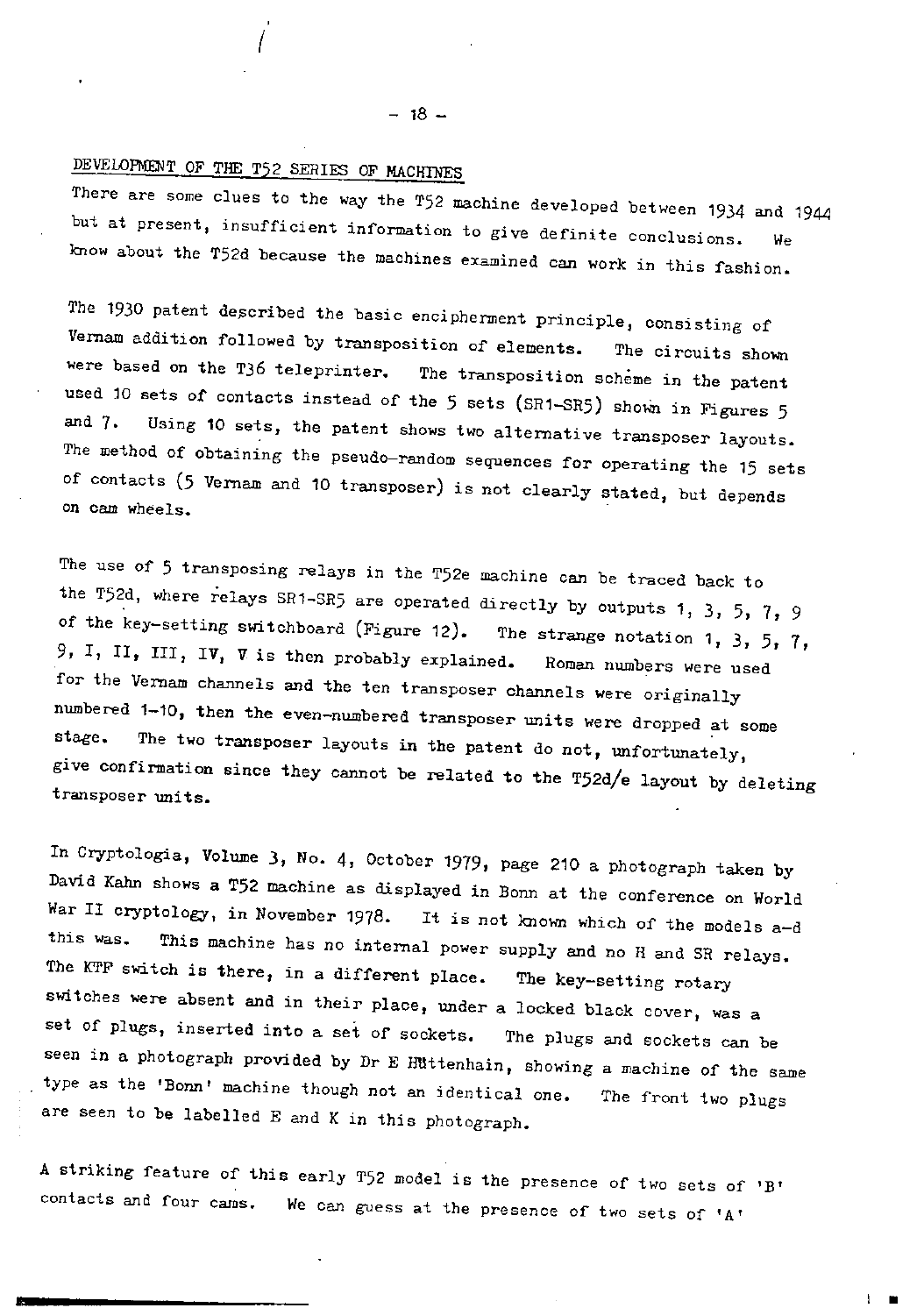# DEVELOPMENT OF THE T52 SERIES OF MACHINES

There are some clues to the way the T52 machine developed between 1934 and 1944 . but at present, insufficient information to give definite conclusions. We know about the T52d because the machines examined can work in this fashion.

The 1930 patent described the basic encipherment principle, consisting of Vernam addition followed by transposition of elements. The circuits shown were based on the T36 teleprinter. The transposition scheme in the patent used 10 sets of contacts instead of the 5 sets (SR1-SR5) shown in Figures 5 and 7. Using 10 sets, the patent shows two alternative transposer layouts. The method of obtaining the pseudo-random sequences for operating the 15 sets of contacts (5 Vernam and 10 transposer) is not clearly stated, but depends on cam wheels.

The use of 5 transposing relays in the T52e machine can be traced back to the T52d, where relays SR1-SR5 are operated directly by outputs 1, 3, 5, 7, 9 of the key-setting switchboard (Figure 12). The strange notation 1, 3, 5, 7, 9, I, II, III, IV, V is then probably explained. Roman numbers were used for the Vernam channels and the ten transposer channels were originally numbered 1-10, then the even-numbered transposer units were dropped at some stage. The two transposer layouts in the patent do not, unfortunately, give confirmation since they cannot be related to the T52d/e layout by deleting transposer units.

In Cryptologia, Volume 3, No. 4, October 1979, page 210 a photograph taken by David Kahn shows a T52 machine as displayed in Bonn at  $\mu$ War II cryptology, in November 1978. It is not known which of the models war ii cryptology, in November 1978. It is not known which of the models a-d<br>this was. This machine has no internal power supply and no H and SR relays. The KTF switch is there, in a different place. The key-setting rotary switches were absent and in their place, under a locked black cover, was a set of plugs, inserted into a set of sockets. The plugs and sockets can be seen in a photograph provided by Dr E Huttenhain, showing a machine of the same type as the 'Bonn' machine though not an identical one. The front two plugs are seen to be labelled E and K in this photograph.

A striking feature of this early T52 model is the presence of two sets of 'B' contacts and four cams. We can guess at the presence of two sets of 'A'

 $-18 -$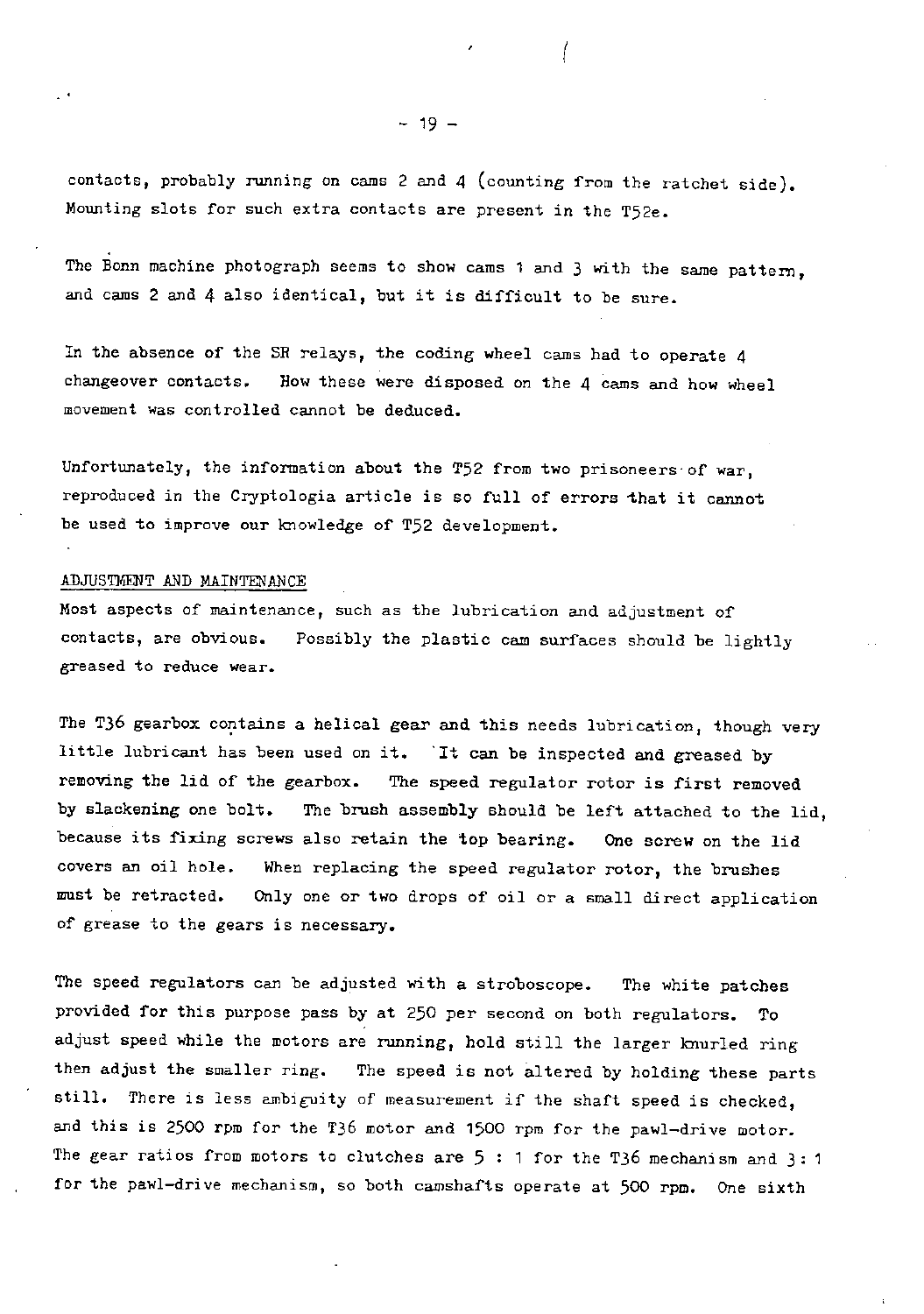contacts, probably running on cams 2 and 4 (counting from the ratchet side). Mounting slots for such extra contacts are present in the T52e.

The Bonn machine photograph seems to show cams 1 and 3 with the same pattern, and cams 2 and 4 also identical, but it is difficult to be sure.

In the absence of the SR relays, the coding wheel cams had to operate 4 changeover contacts. How these were disposed on the 4 cams and how wheel movement was controlled cannot be deduced.

Unfortunately, the information about the T52 from two prisoneers-of war, reproduced in the Cryptologia article is so full of errors that it cannot be used to improve our knowledge of T52 development.

#### ADJUSTMENT AND MAINTENANCE

Most aspects of maintenance, such as the lubrication and adjustment of contacts, are obvious. Possibly the plastic cam surfaces should be lightly greased to reduce wear.

The T36 gearbox contains a helical gear and this needs lubrication, though very little lubricant has been used on it. It can be inspected and greased by removing the lid of the gearbox. The speed regulator rotor is first removed by slackening one bolt. The brush assembly should be left attached to the lid, because its fixing screws also retain the top bearing. One screw on the lid covers an oil hole. When replacing the speed regulator rotor, the brushes must be retracted. Only one or two drops of oil or a small direct application of grease to the gears is necessary.

The speed regulators can be adjusted with a stroboscope. The white patches provided for this purpose pass by at 250 per second on both regulators. To adjust speed while the motors are running, hold still the larger knurled ring then adjust the smaller ring. The speed is not altered by holding these parts still. There is less ambiguity of measurement if the shaft speed is checked, and this is 2500 rpm for the T36 motor and 1500 rpm for the pawl-drive motor. The gear ratios from motors to clutches are 5 : 1 for the T36 mechanism and 3: 1 for the pawl-drive mechanism, so both camshafts operate at 500 rpm. One sixth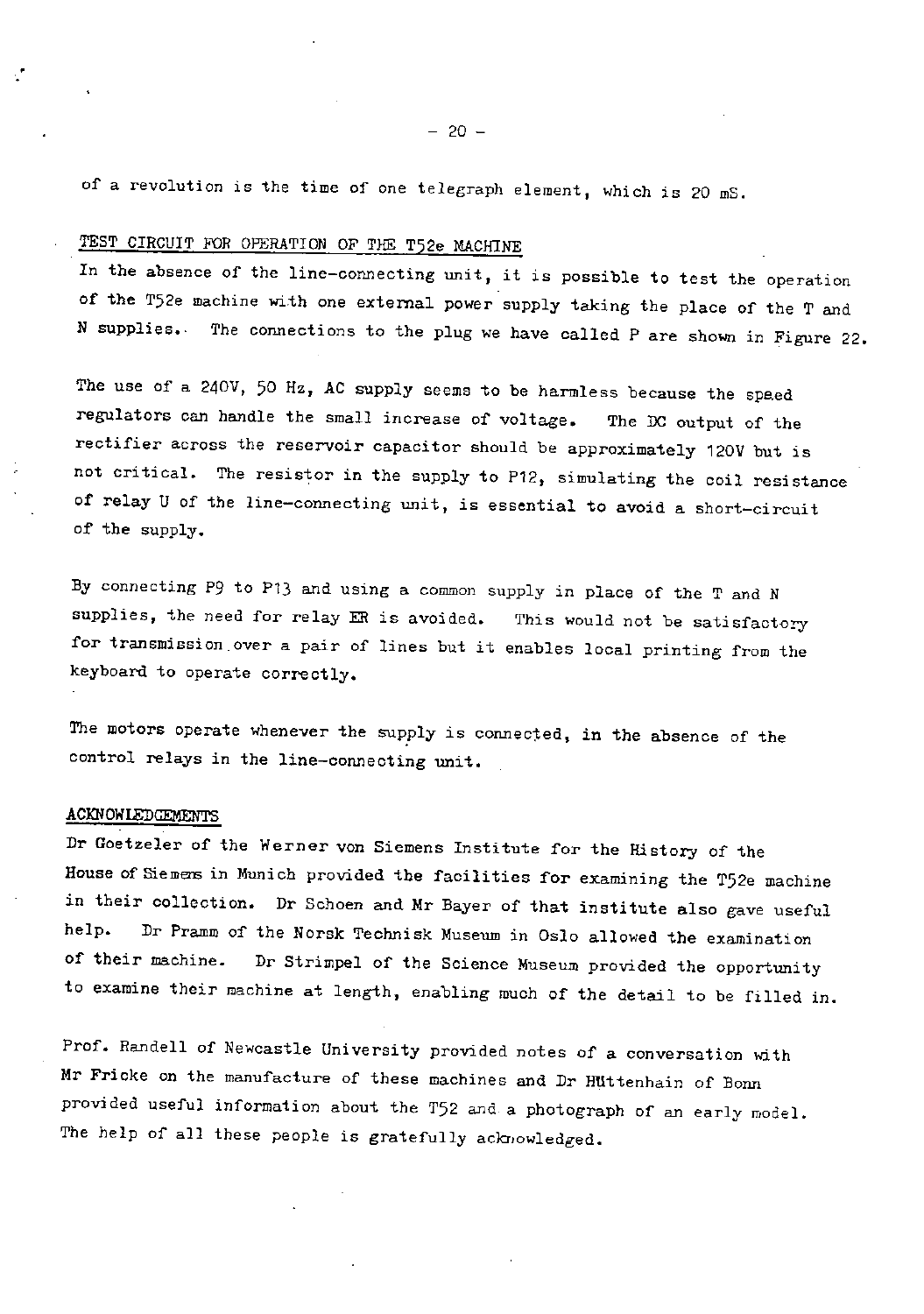## TEST CIRCUIT FOR OPERATION OF THE T52e MACHINE

In the absence of the line-connecting unit, it is possible to test the operation of the T52e machine with one external power supply taking the place of the T and N supplies.. The connections to the plug we have called P are shown in Figure 22.

The use of a 240V, 50 Hz, AC supply seems to be harmless because the speed regulators can handle the small increase of voltage. The DC output of the rectifier across the reservoir capacitor should be approximately 120V but is not critical. The resistor in the supply to P12, simulating the coil resistance of relay U of the line-connecting unit, is essential to avoid a short-circuit of the supply.

By connecting P9 to P13 and using a common supply in place of the T and N supplies, the need for relay ER is avoided. This would not be satisfactory for transmission.over a pair of lines but it enables local printing from the keyboard to operate correctly.

The motors operate whenever the supply is connected, in the absence of the control relays in the line-connecting unit.

#### ACKNOWLEDGEMENTS

Dr Goetzeler of the Werner von Siemens Institute for the History of the House of Siemens in Munich provided the facilities for examining the T52e machine in their collection. Dr Schoen and Mr Bayer of that institute also gave useful help. Dr Pramm of the Norsk Technisk Museum in Oslo allowed the examination of their machine. Dr Strimpel of the Science Museum provided the opportunity to examine their machine at length, enabling much of the detail to be filled in.

Prof. Randell of Newcastle University provided notes of a conversation with Mr Fricke on the manufacture of these machines and Dr HUttenhain of Bonn provided useful information about the T52 and. a photograph of an early model. The help of all these people is gratefully acknowledged.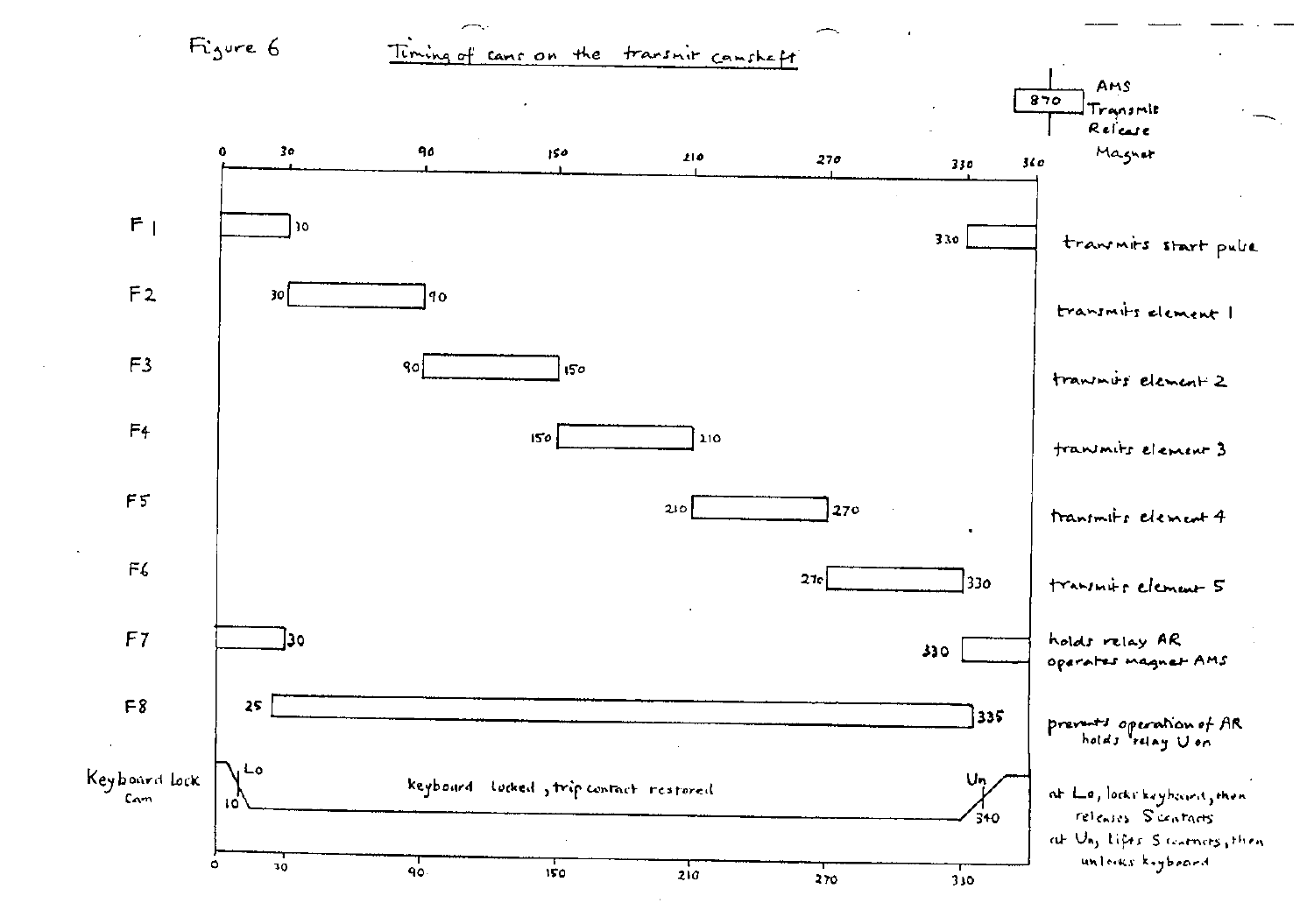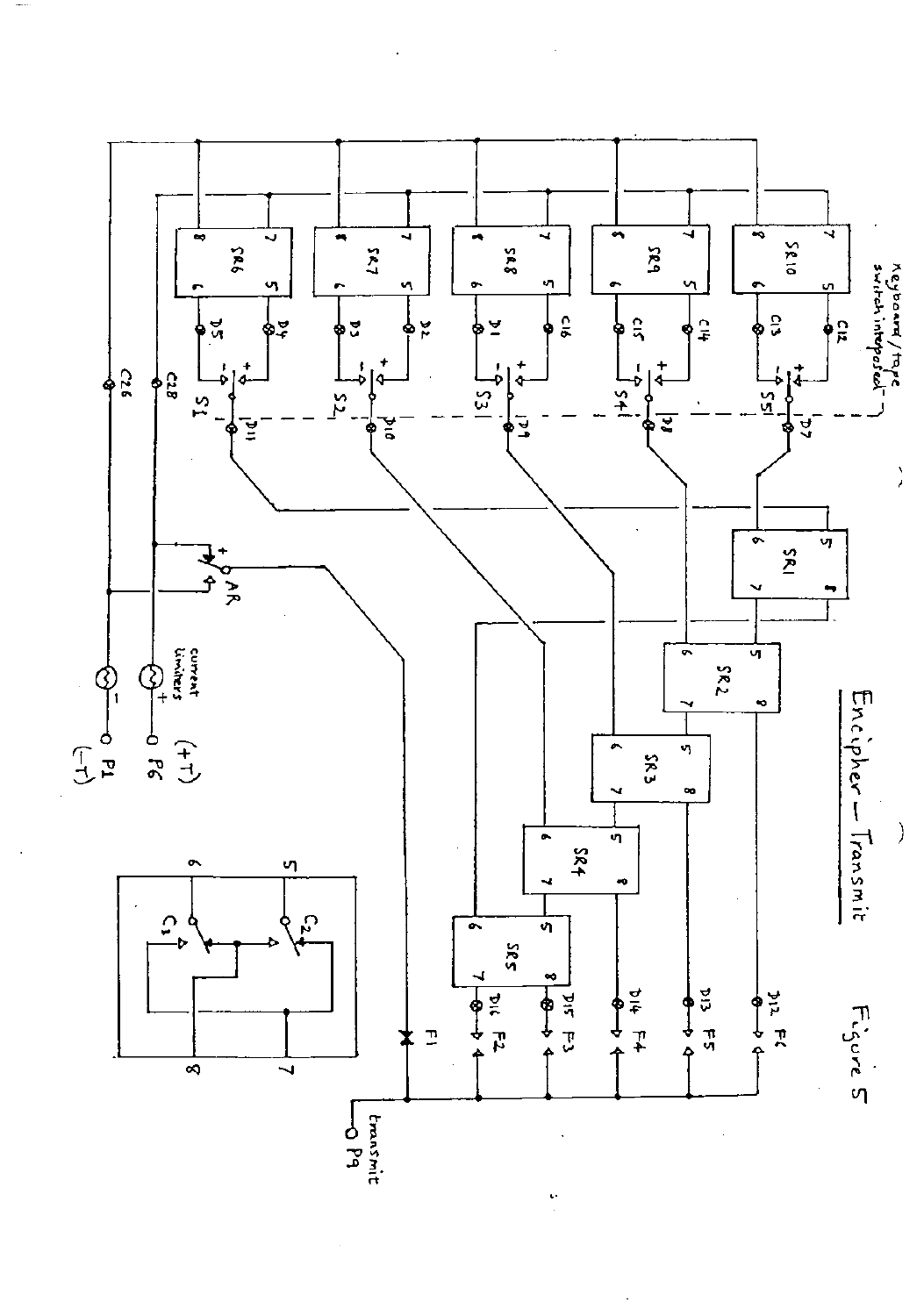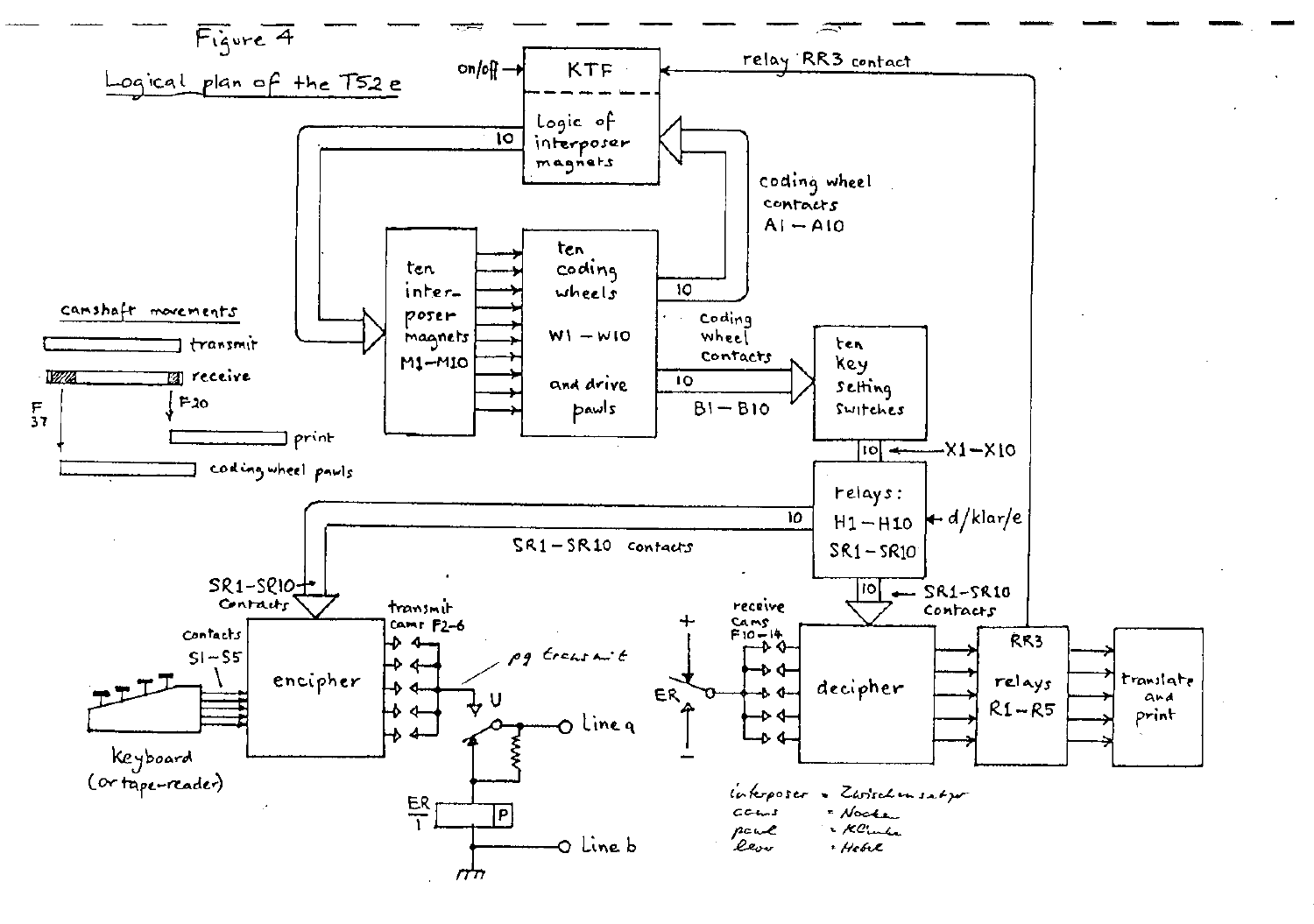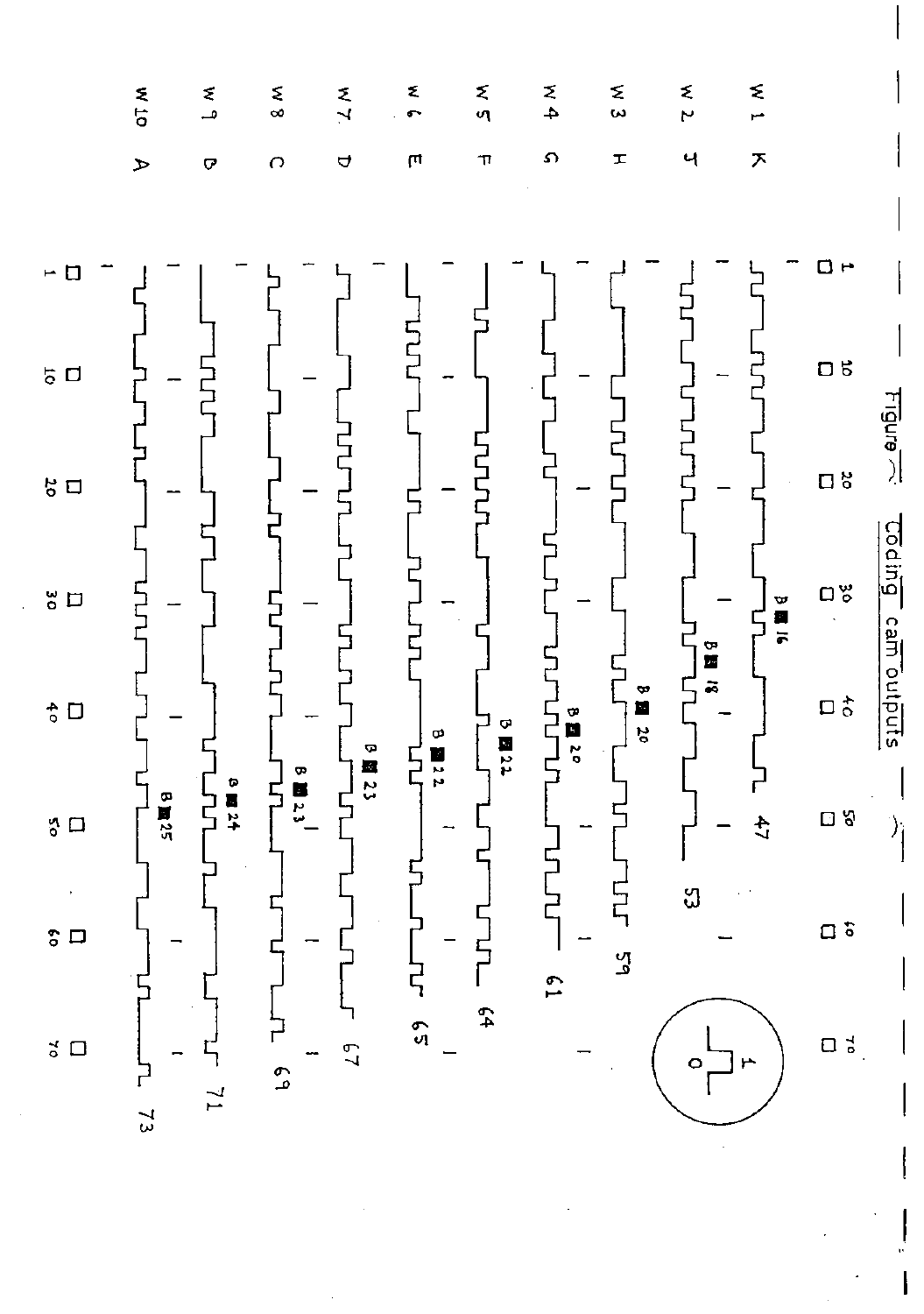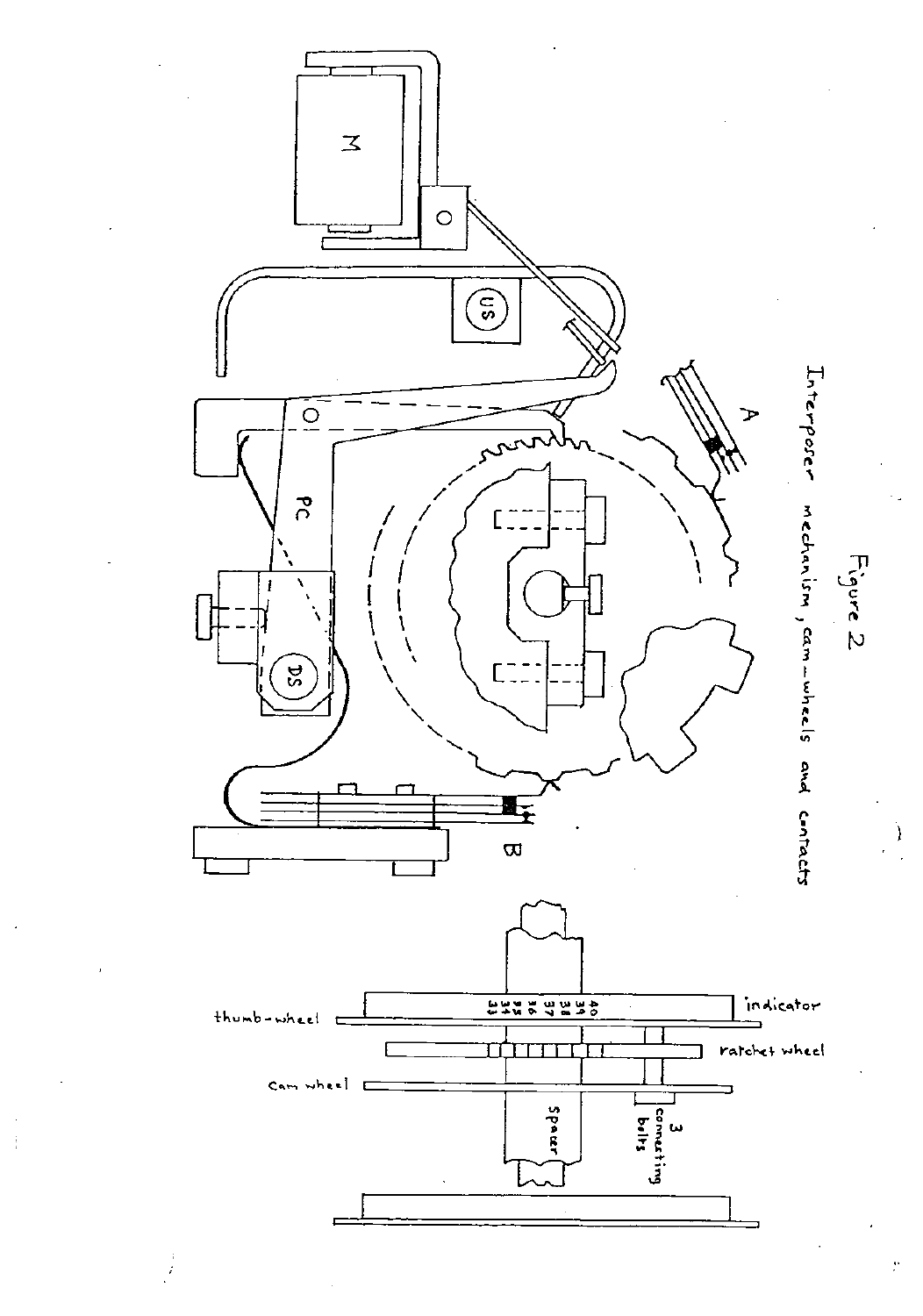

÷.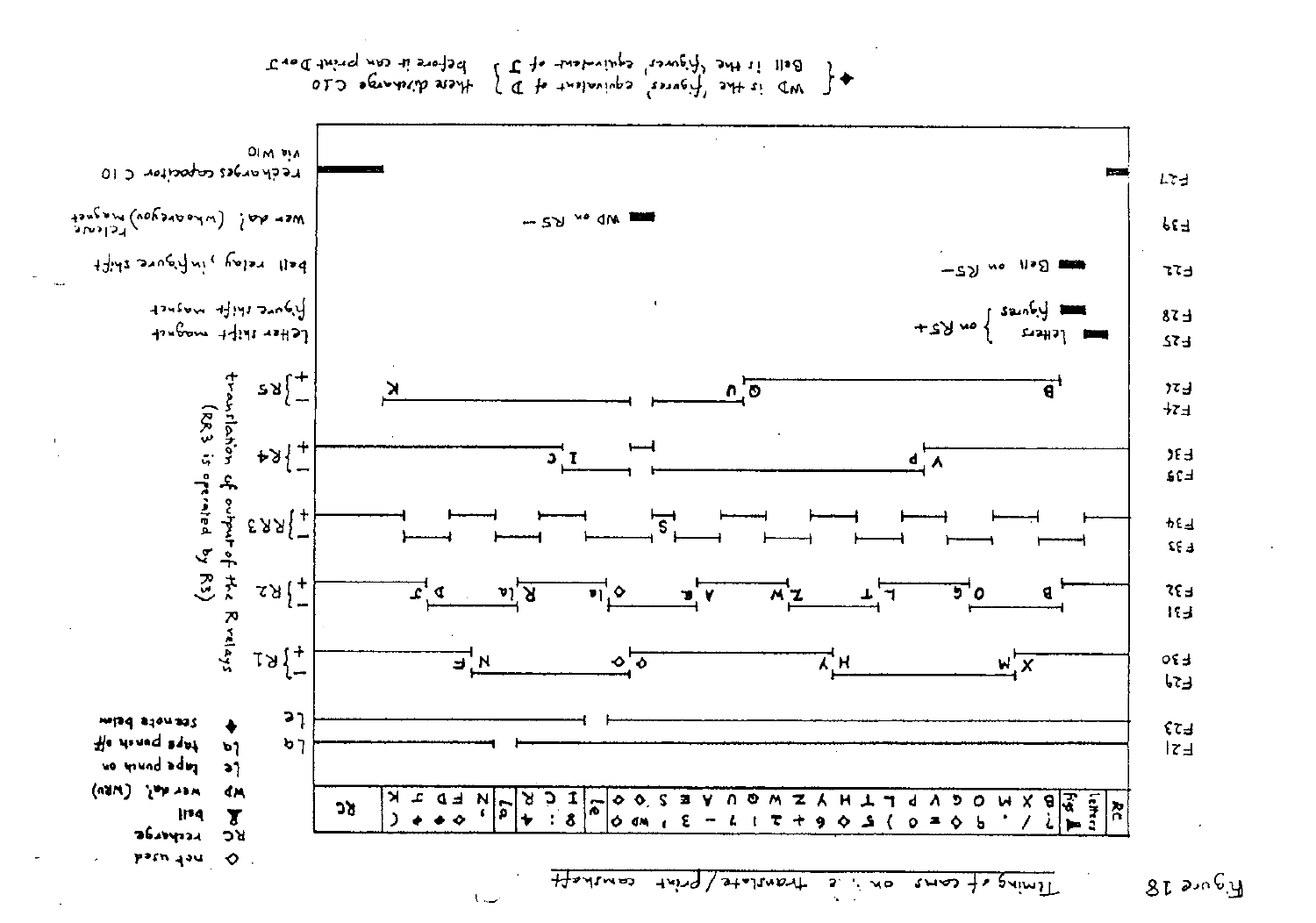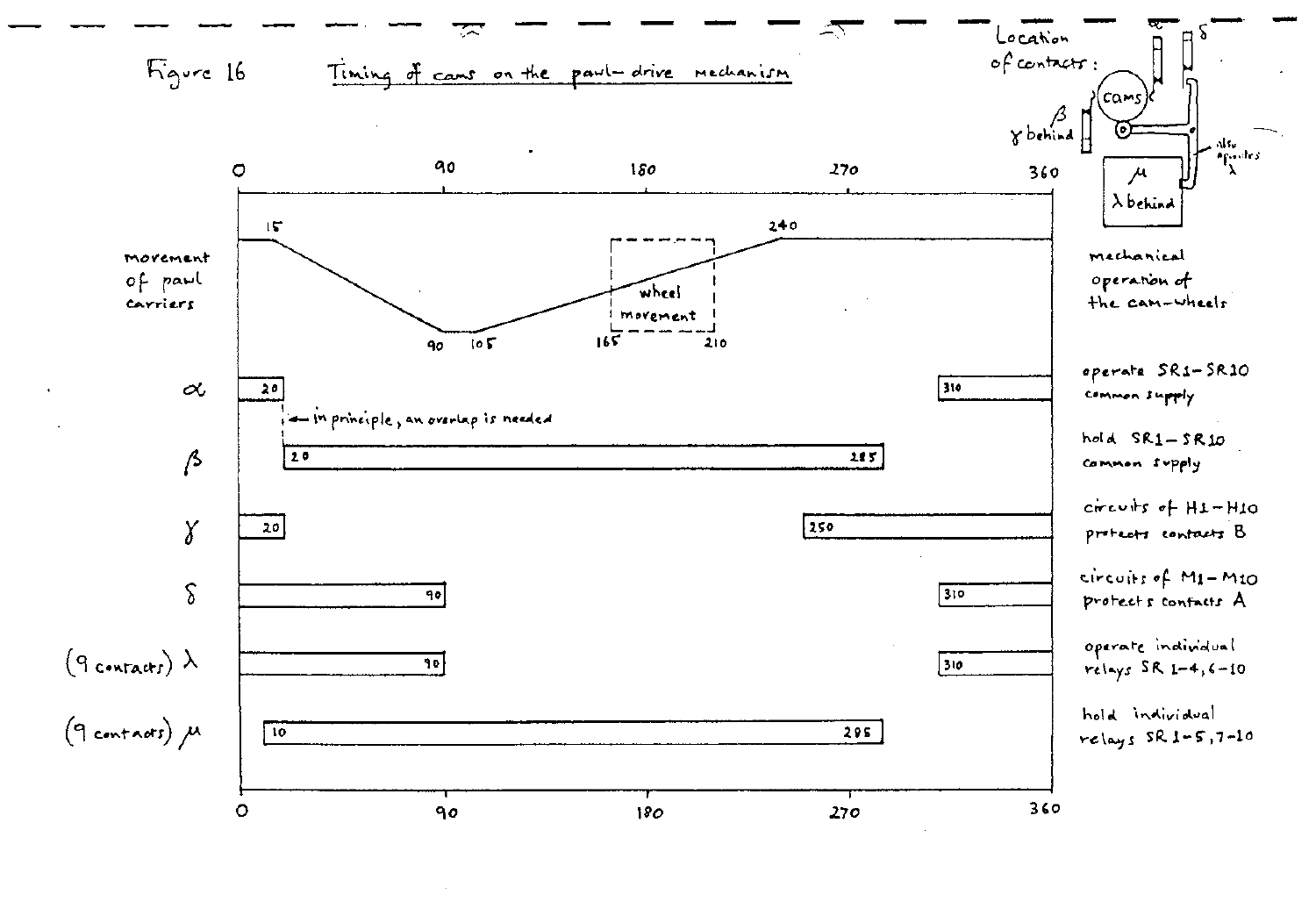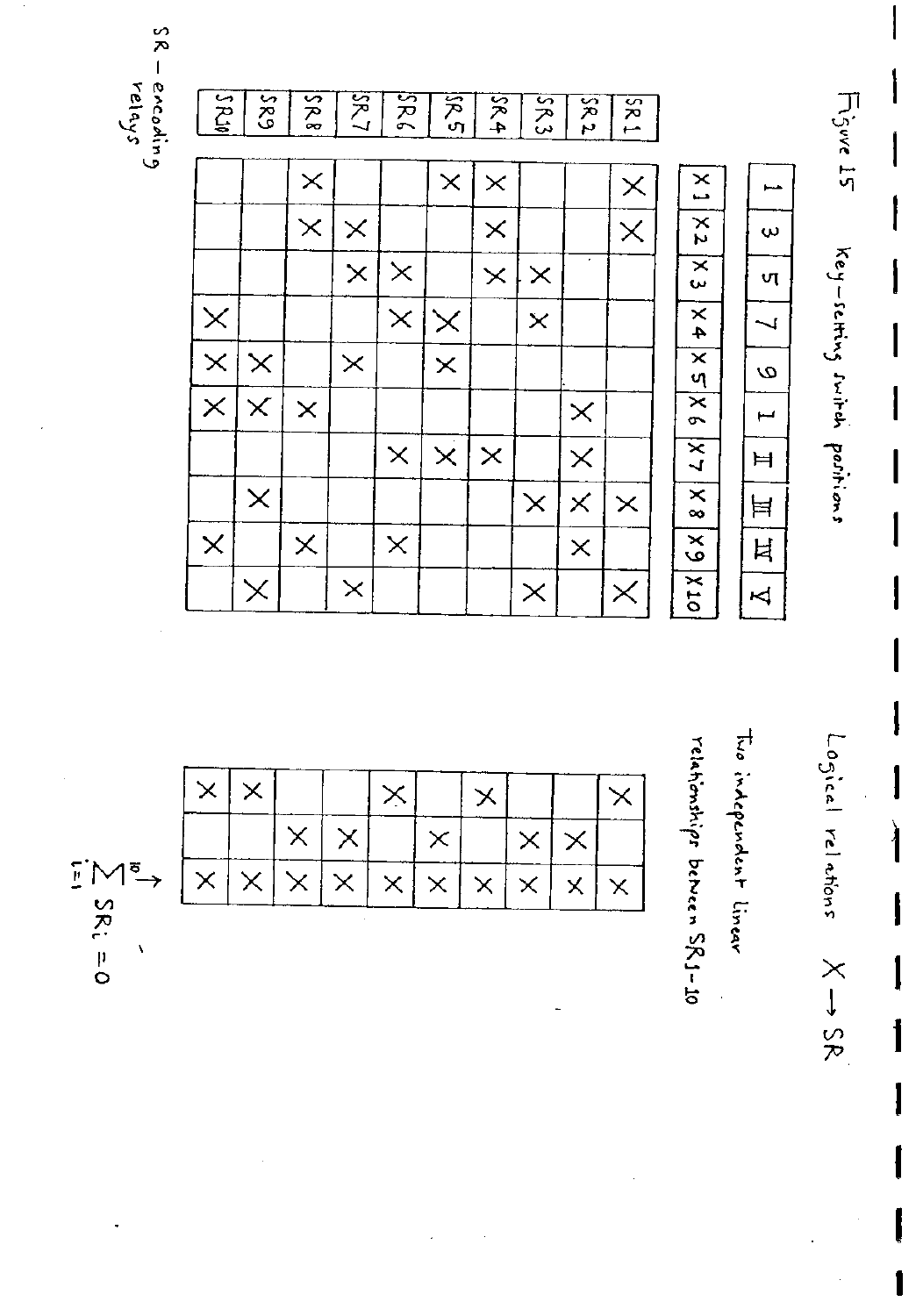SR – encoding<br>relays

Figure 15  $38$ **ACAS**  $|589$  $\frac{2}{3}$  $28/7$  $38$  $264$  $283$  $582$  $|s_{R}$  $\times$  $\times$  $\overline{\phantom{0}}$  $\times$  $\times$  $\overline{a}$  $|\times 2$  $\overline{\mathsf{x}}$  $\times$  $\times$  $\times$  $\mathbf \omega$ key-sching switch positions  $\mathbf{\overline{x}}$  $\times$  $\times$  $\times$  $\times$ vτ  $\overline{\times}$  $\times$  $\times$  $\times$  $9XSX|5X$  $\overline{\phantom{0}}$  $\times$  $\overline{\mathsf{x}}$  $\times$  $\times$  $\omega$  $\overline{\mathsf{x}}$  $\times$  $\times$  $\times$  $\overline{a}$  $2 \times$  $\overline{\mathsf{x}}$  $\times$  $\times$  $\times$  $H$  $\frac{1}{x}$  $\times$  $\times$  $\times$  $\times$  $\equiv$  $\overline{\mathsf{x}}$  $\times$  $\times$  $\times$  $\overline{\mathsf{x}}$ Ħ OT X  $\times$  $\times$  $\overline{\mathcal{A}}$  $\times$  $\times$ 

 $\times$  $\times$  $\times$  $\times$  $\times$  $\times$  $\times$  $\times$  $\times$  $\times$  $\begin{array}{c}\n\mathbf{1} & \mathbf{1} \\
\mathbf{2} & \mathbf{1} \\
\mathbf{3} & \mathbf{2} \\
\mathbf{4} & \mathbf{5} \\
\mathbf{5} & \mathbf{6}\n\end{array}$  $\times$  $\times$  $\times$  $\times$  $\times$  $\times$  $\overline{\mathbf{x}}$  $\times$  $\times$  $\times$ 

Logical relations  $X \rightarrow$  SR

 $\overline{\mathsf{I}}$ 

Two independent linear

relationships percen SK.1-10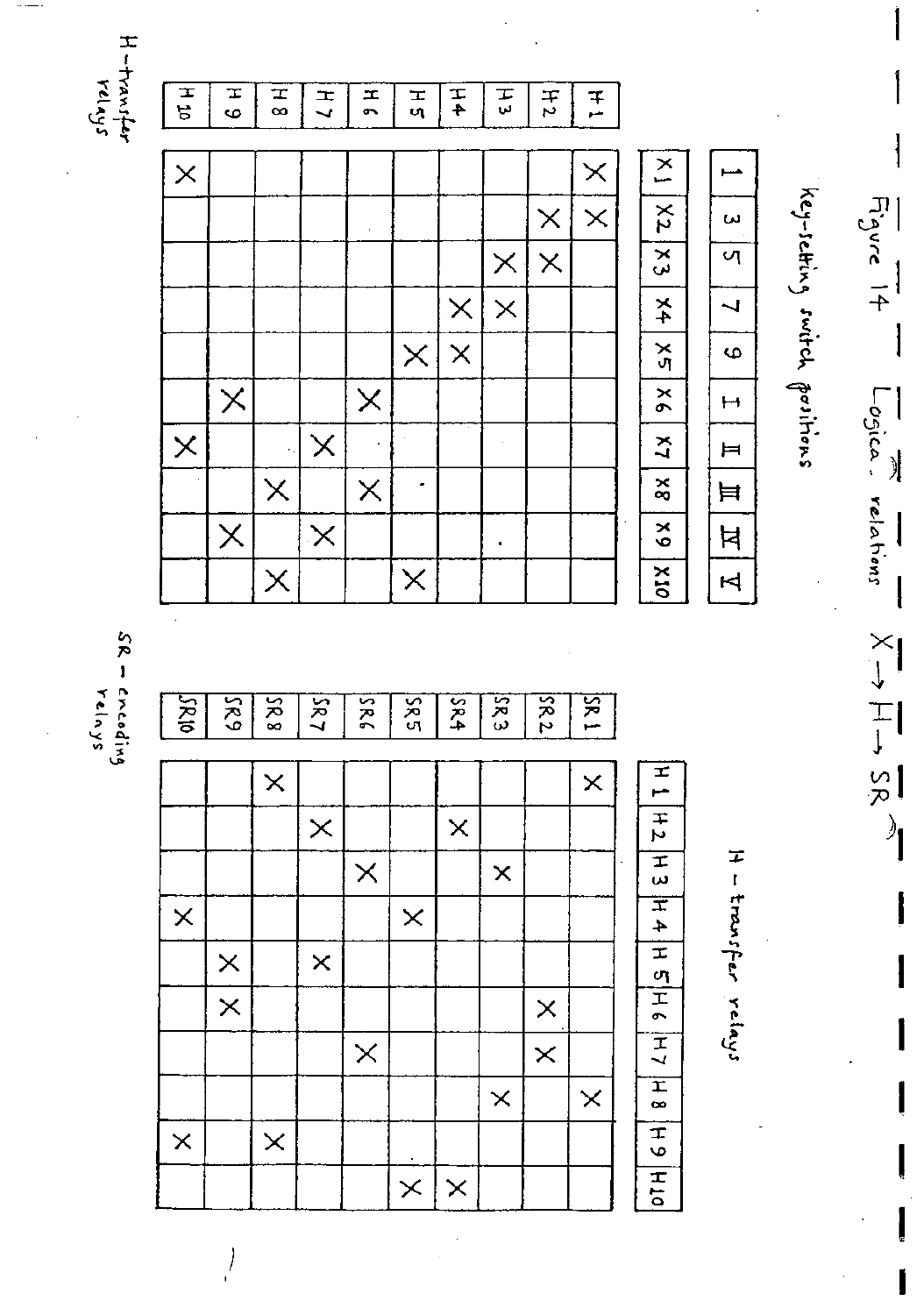$H=\frac{1}{2}m_1\frac{1}{2}m_2$ 



SR – crcoding<br>SR – crcoding

 $\left| \right\rangle$ 

| Κþ       | ξR,      | šR 8     | SR,      | šR       | XX<br>P  | 5R <sub>4</sub> | ăς       | $\kappa$ 2 | $\frac{5}{2}$ |                    |
|----------|----------|----------|----------|----------|----------|-----------------|----------|------------|---------------|--------------------|
|          |          | $\times$ |          |          |          |                 |          |            | $\times$      |                    |
|          |          |          | $\times$ |          |          | $\times$        |          |            |               | H1H2H3             |
|          |          |          |          | $\times$ |          |                 | $\times$ |            |               |                    |
| $\times$ |          |          |          |          | $\times$ |                 |          |            |               | $\frac{1}{2}$      |
|          | $\times$ |          | $\times$ |          |          |                 |          |            |               |                    |
|          | $\times$ |          |          |          |          |                 |          | $\times$   |               | H SH SH Z          |
|          |          |          |          | $\times$ |          |                 |          | $\times$   |               |                    |
|          |          |          |          |          |          |                 | $\times$ |            | $\times$      | $\frac{1}{\pi}$    |
| $\times$ |          | $\times$ |          |          |          |                 |          |            |               |                    |
|          |          |          |          |          | $\times$ | $\times$        |          |            |               | $\overline{H}$ 5 H |

H - transfer relays

 $\frac{1}{x}$ 

Logica relations

 $\lambda$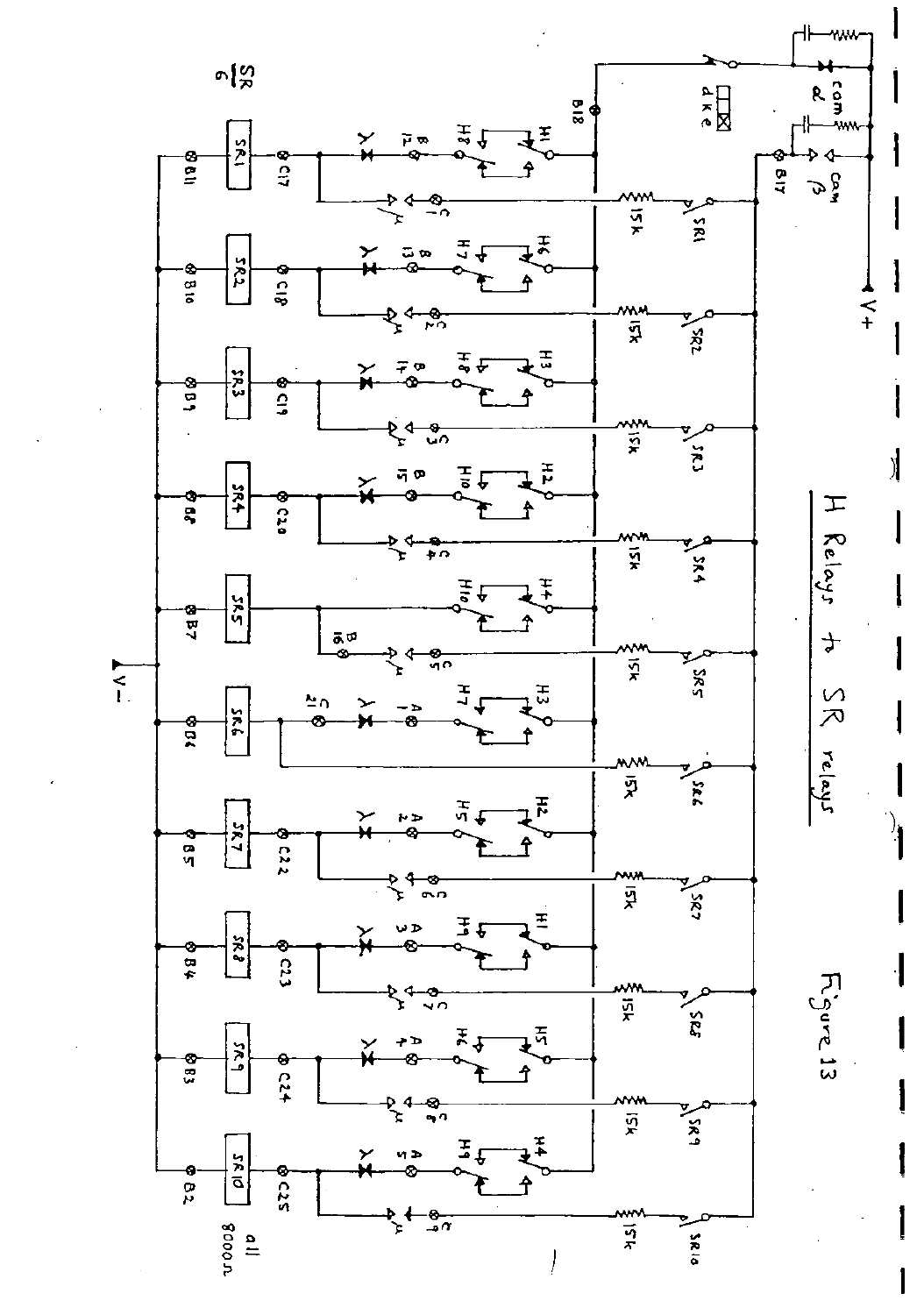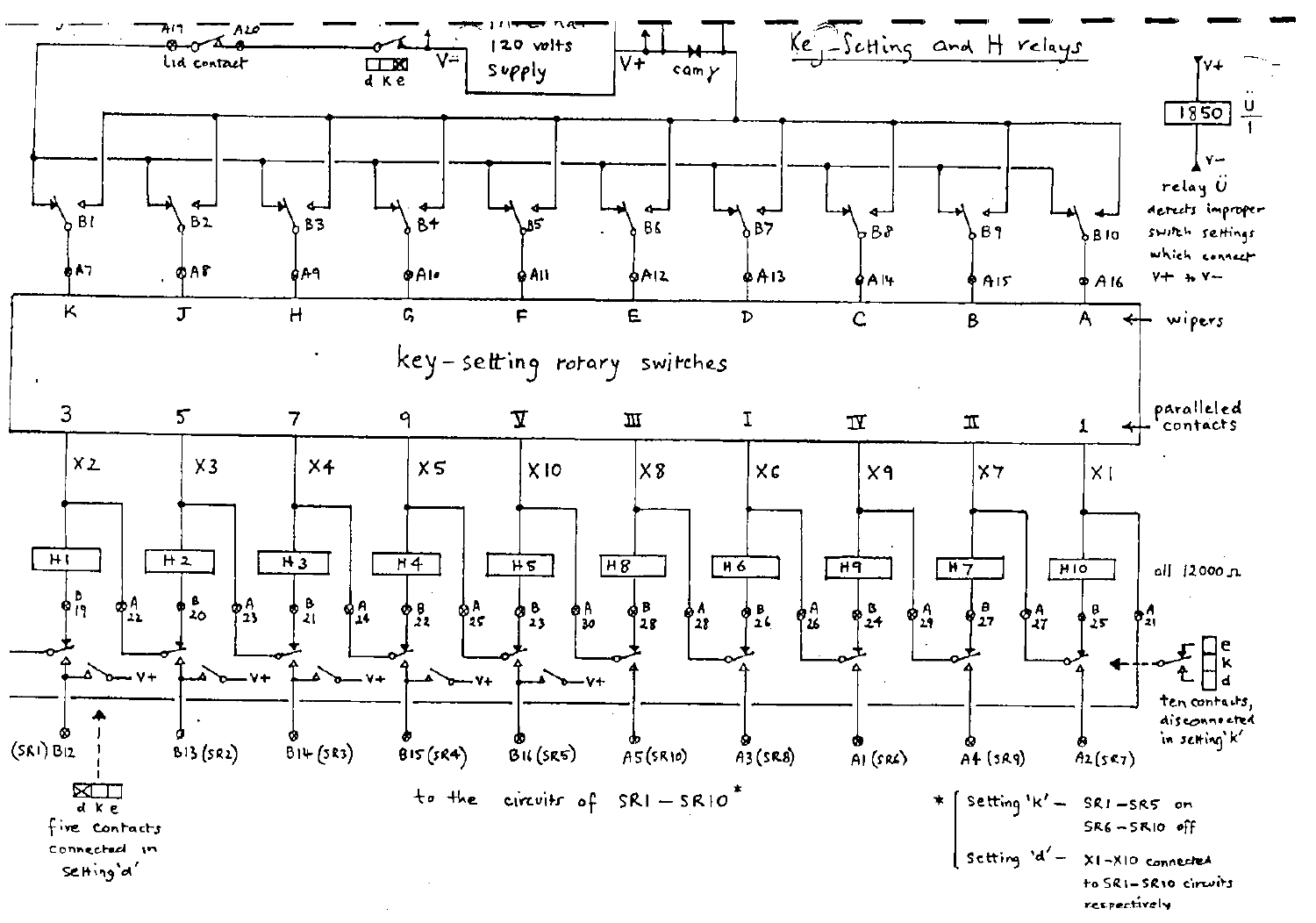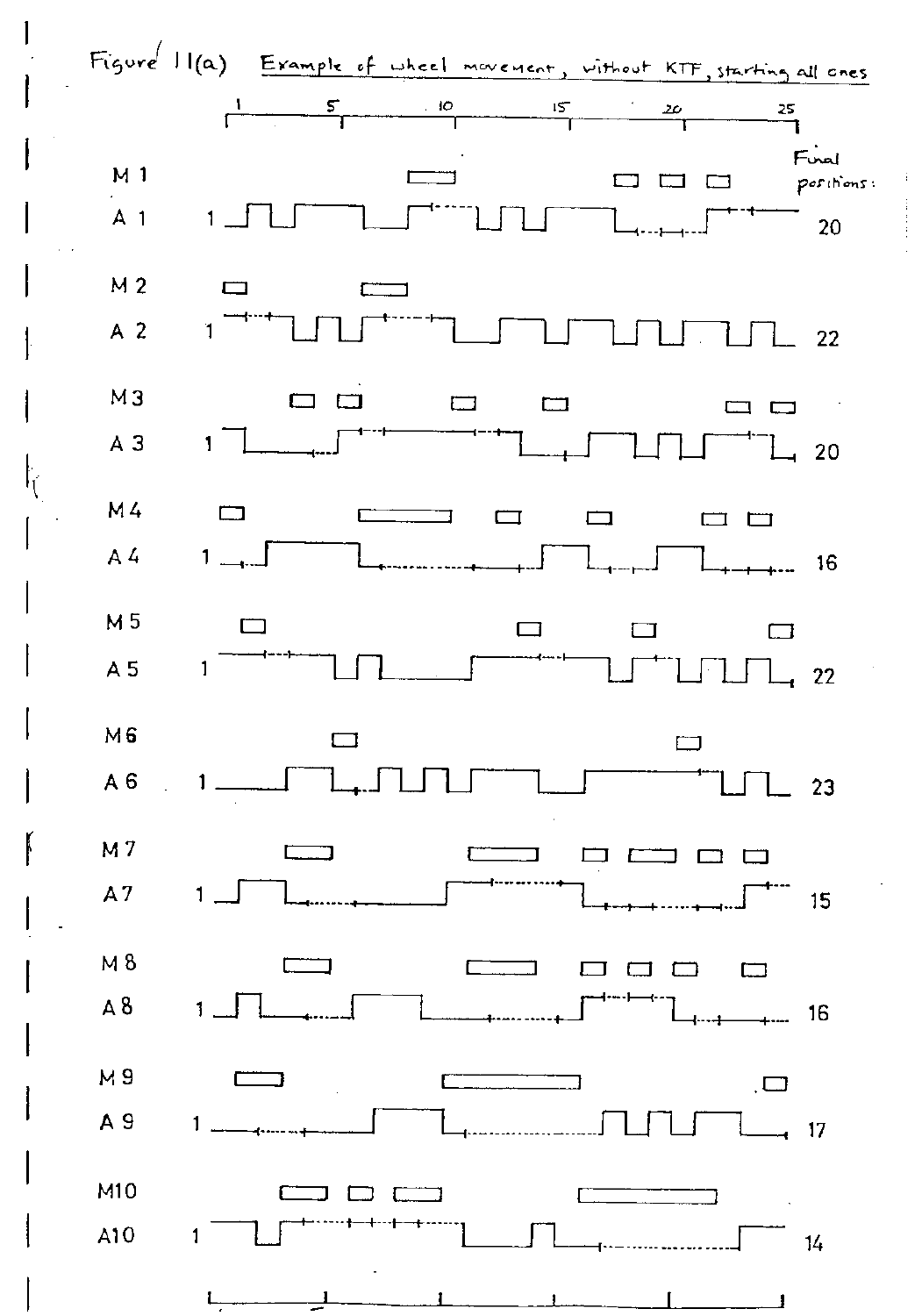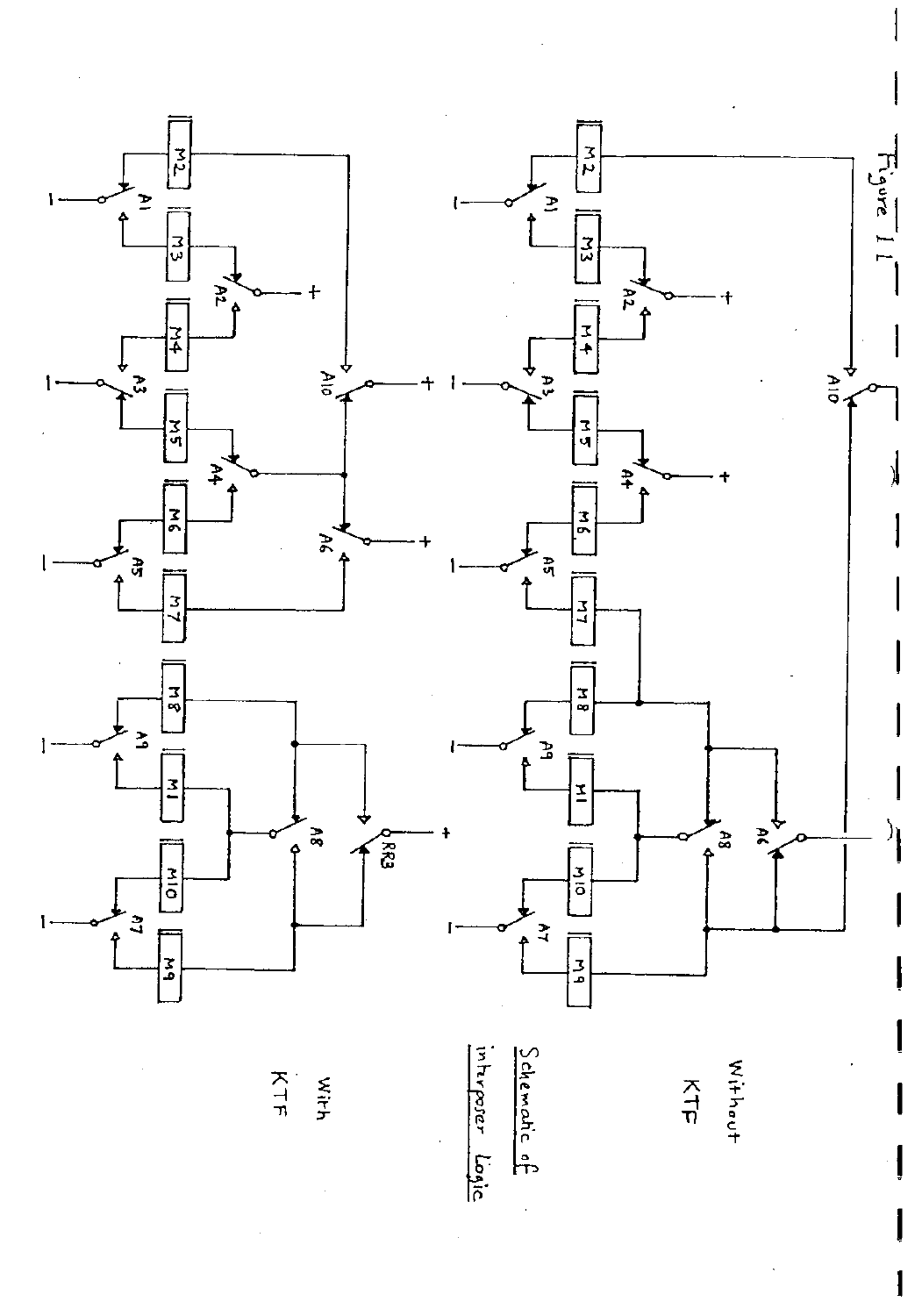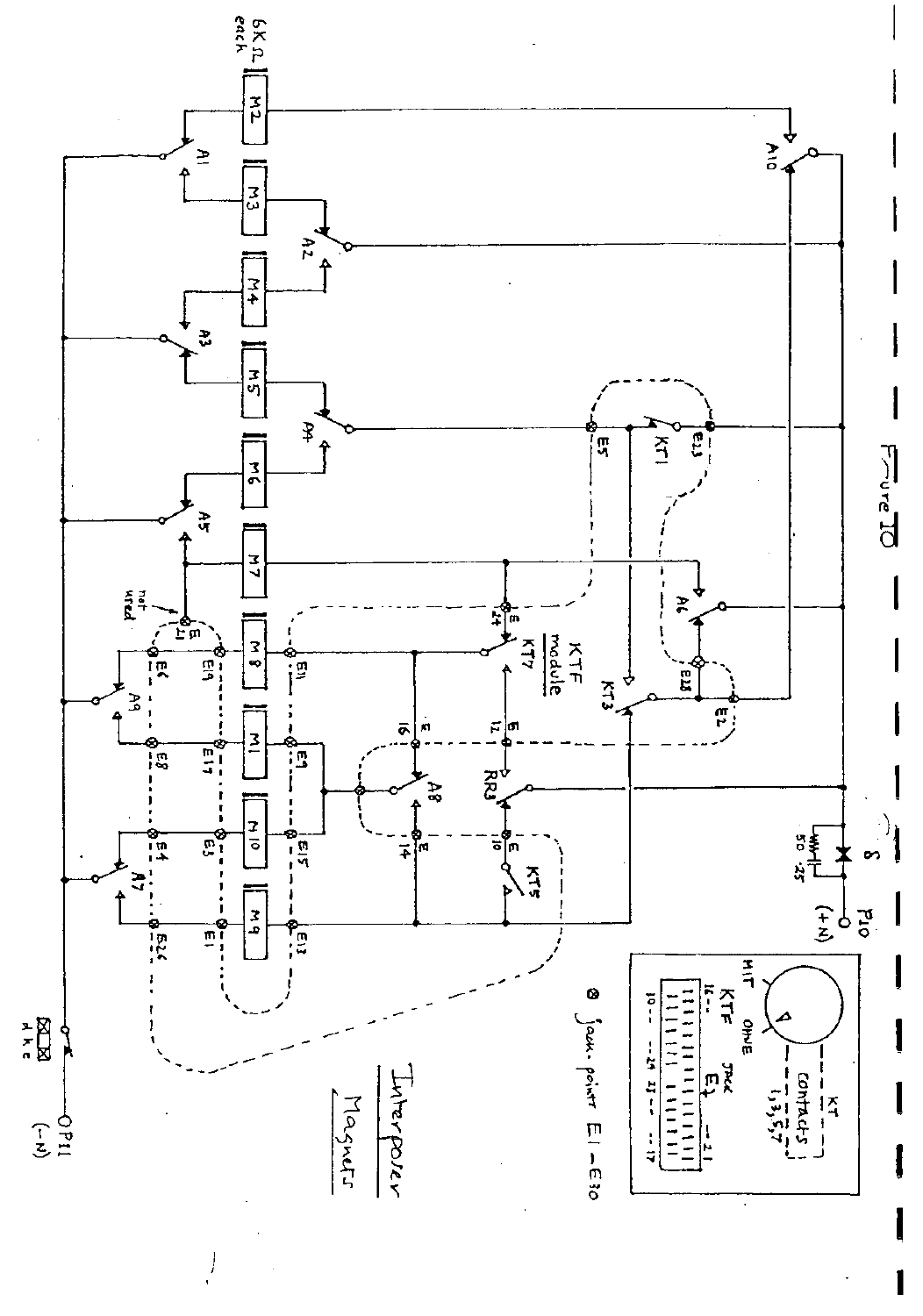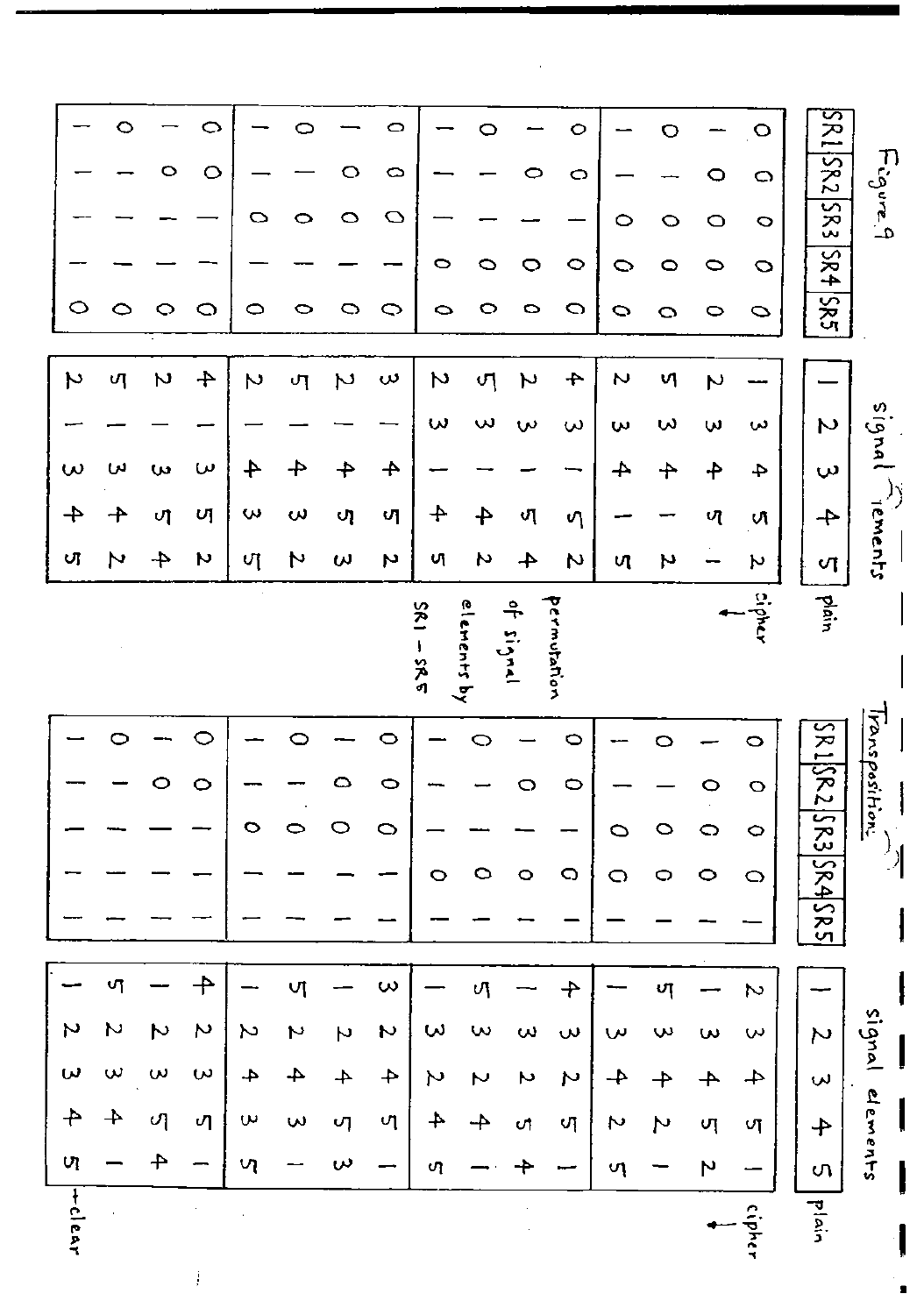|                | O        |                    | ○                     |                  |                   |    | O                       |                          | O                 |                  | $\circ$           |        | $\circ$       |              | O                         | SR1.              |                              |
|----------------|----------|--------------------|-----------------------|------------------|-------------------|----|-------------------------|--------------------------|-------------------|------------------|-------------------|--------|---------------|--------------|---------------------------|-------------------|------------------------------|
|                |          | O                  | $\circ$               |                  |                   |    | $\circ$                 |                          |                   |                  | O                 |        |               | 0            | $\circ$                   | SR2               |                              |
|                |          |                    |                       | $\circ$          | 0                 | 0  | O                       |                          |                   |                  |                   | ○      | O             | $\circ$      | $\circ$                   | 583               | $F_{cgure, q}$               |
|                |          |                    |                       |                  |                   |    |                         | 0                        | O                 | O                | $\circ$           | ○      | 0             | 0            | $\circ$                   | 584               |                              |
|                | 0        | O                  | O                     | $\circ$          | ○                 | 0  | Q                       | ∘                        | $\circ$           | 0                | O                 | ○      | o             | 0            | $\circ$                   | 582               |                              |
|                |          |                    |                       |                  |                   |    |                         |                          |                   |                  |                   |        |               |              |                           |                   |                              |
| ىر             | ্য       | $\boldsymbol{\mu}$ | $\div$                | N                | ጣ                 | Z  | س                       | N                        | ণ                 | ぃ                | $\div$            | N      | ৸             | $\mathsf{N}$ |                           |                   |                              |
|                |          |                    |                       |                  |                   |    |                         | $\mathbf{\omega}$        | $\mathbf{\omega}$ | $\mathbf{v}$     | س                 | w      | ω             | ω            | ω                         | N                 | signal                       |
| $\omega$       | س        | w                  | ω                     | 4                | 4                 |    | $\rightarrow$           |                          |                   |                  |                   | 4      | ✦             | ቶ            | 4                         | $\mathbf{\omega}$ |                              |
| 4              | ╇        | ᄳ                  | υ                     | ω                | $\mathbf{\omega}$ | ্য | 어                       | $\div$                   | 4                 | ৩ৃ               | ণ                 |        |               | ্য           | N                         | $\div$            |                              |
| Uļ             | N        | 4                  | N                     | ্য               | N                 | ω  | N                       | υJ                       | N                 | 4                | Z                 | И      | N             |              | N                         | N                 | rements                      |
|                |          |                    |                       |                  |                   |    |                         |                          |                   |                  |                   |        |               |              |                           |                   |                              |
|                |          |                    |                       |                  |                   |    |                         | <b>SR1</b>               |                   | ᡱ                |                   |        |               |              | cipher                    | plain             |                              |
|                |          |                    |                       |                  |                   |    |                         | $-280$                   | elenents by       | $\sum_{k=1}^{n}$ | presidente        |        |               |              |                           |                   |                              |
|                |          |                    |                       |                  |                   |    |                         |                          |                   |                  |                   |        |               |              |                           |                   |                              |
|                |          |                    |                       |                  |                   |    |                         |                          |                   |                  |                   |        |               |              |                           |                   |                              |
|                |          |                    |                       |                  |                   |    | 0                       |                          |                   |                  |                   |        |               |              |                           |                   |                              |
|                |          |                    |                       |                  |                   |    |                         |                          |                   |                  | $\circ$           |        |               |              | $\circ$                   |                   |                              |
|                |          |                    | 0                     |                  |                   |    | 0                       |                          |                   |                  | $\circ$           |        |               |              | $\circ$                   |                   |                              |
|                |          |                    |                       |                  |                   |    | O                       |                          |                   |                  |                   | ○      | O             | ○            | $\circ$                   | SR ISR 2          | Fransposition<br>$\mathbf i$ |
|                |          |                    |                       |                  |                   |    |                         | O                        | $\circ$           | $\circ$          | O                 | O      | 0             | 0            | $\circ$                   | [5R3]             |                              |
|                |          |                    |                       |                  |                   |    |                         |                          |                   |                  |                   |        |               |              |                           | \$९4              |                              |
|                |          |                    |                       |                  |                   |    |                         |                          |                   |                  |                   |        |               |              |                           | $ S$ RS           |                              |
|                | ഗ        |                    | ╄                     |                  | V)                |    | $\mathbf{\omega}$       |                          | υJ                |                  |                   |        |               |              | N                         |                   |                              |
| N              | N        | $\triangleright$   | Z                     | Σ                | N                 | N  | N                       | ω                        | w                 | ω                | $\mathbf{\omega}$ | س      | ω             | $\omega$     | $\mathbf{\tilde{\omega}}$ | $\sim$            |                              |
| ω              | $\omega$ | $\omega$           | $\boldsymbol{\omega}$ | 4.               | 4                 | 4  | $\overline{\mathbf{4}}$ | N                        | N                 | N                | N                 | $\div$ | $\rightarrow$ |              |                           | $\mathbf{v}$      | signal                       |
| $\overline{+}$ | $\bm{+}$ | ্য                 | ጣ                     | $\mathbf \omega$ | $\sim$            | vη | ণ                       | $\overline{\phantom{a}}$ |                   | υţ               | ੍ਰ                | N      | N             | ্য           | ্য                        | 舟                 |                              |
| UΊ             |          |                    |                       | ၯ                |                   | س  |                         | ળ                        |                   |                  |                   | ហុ     |               | N            |                           | ς,                | elerents                     |
|                |          |                    |                       |                  |                   |    |                         |                          |                   |                  |                   |        |               |              |                           |                   |                              |
|                |          |                    |                       |                  |                   |    |                         |                          |                   |                  |                   |        |               |              |                           |                   |                              |
| $+ c  e_0$     |          |                    |                       |                  |                   |    |                         |                          |                   |                  |                   |        |               |              | cipher                    | plain             |                              |

 $\sim 10^{11}$  km  $^{-1}$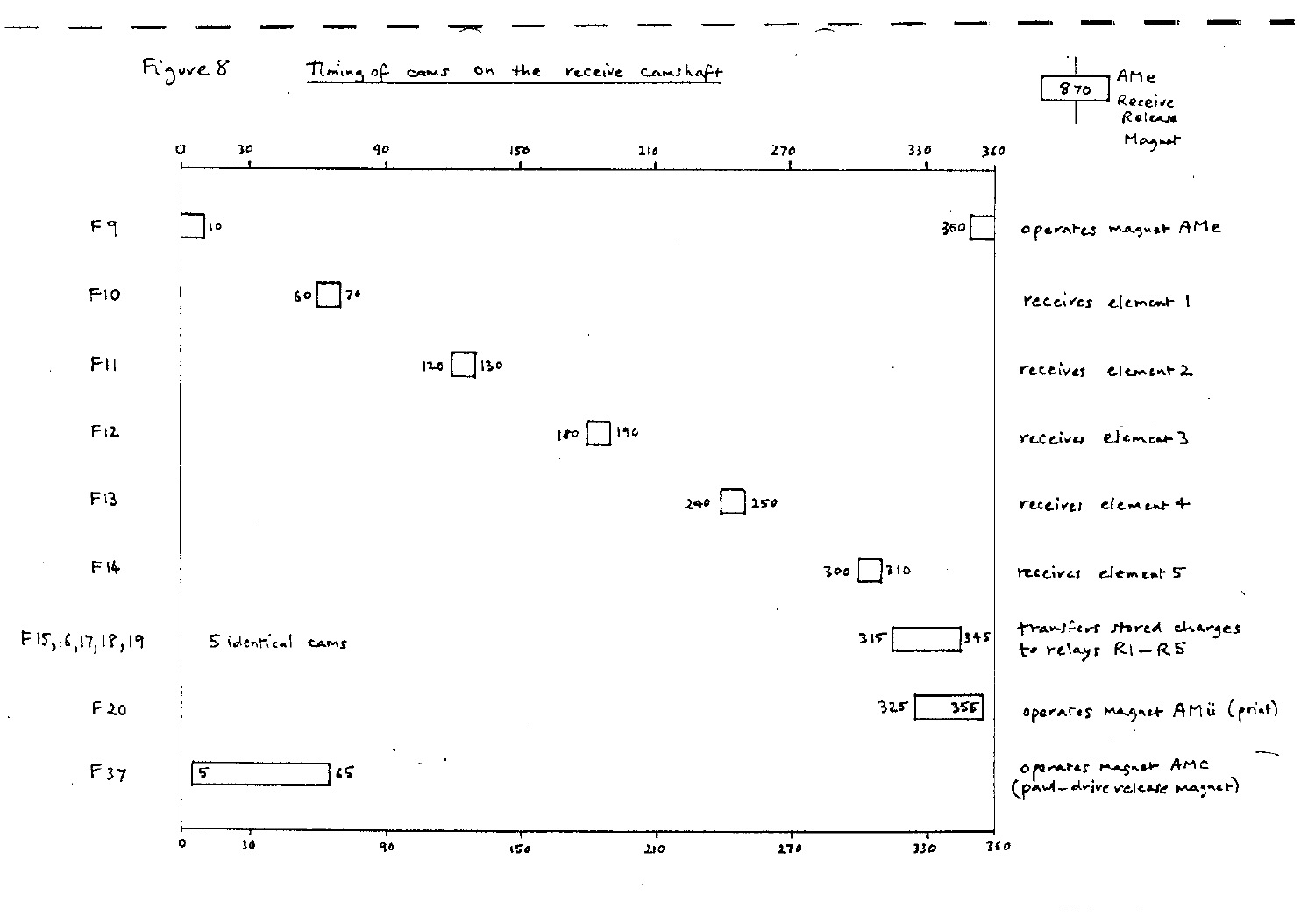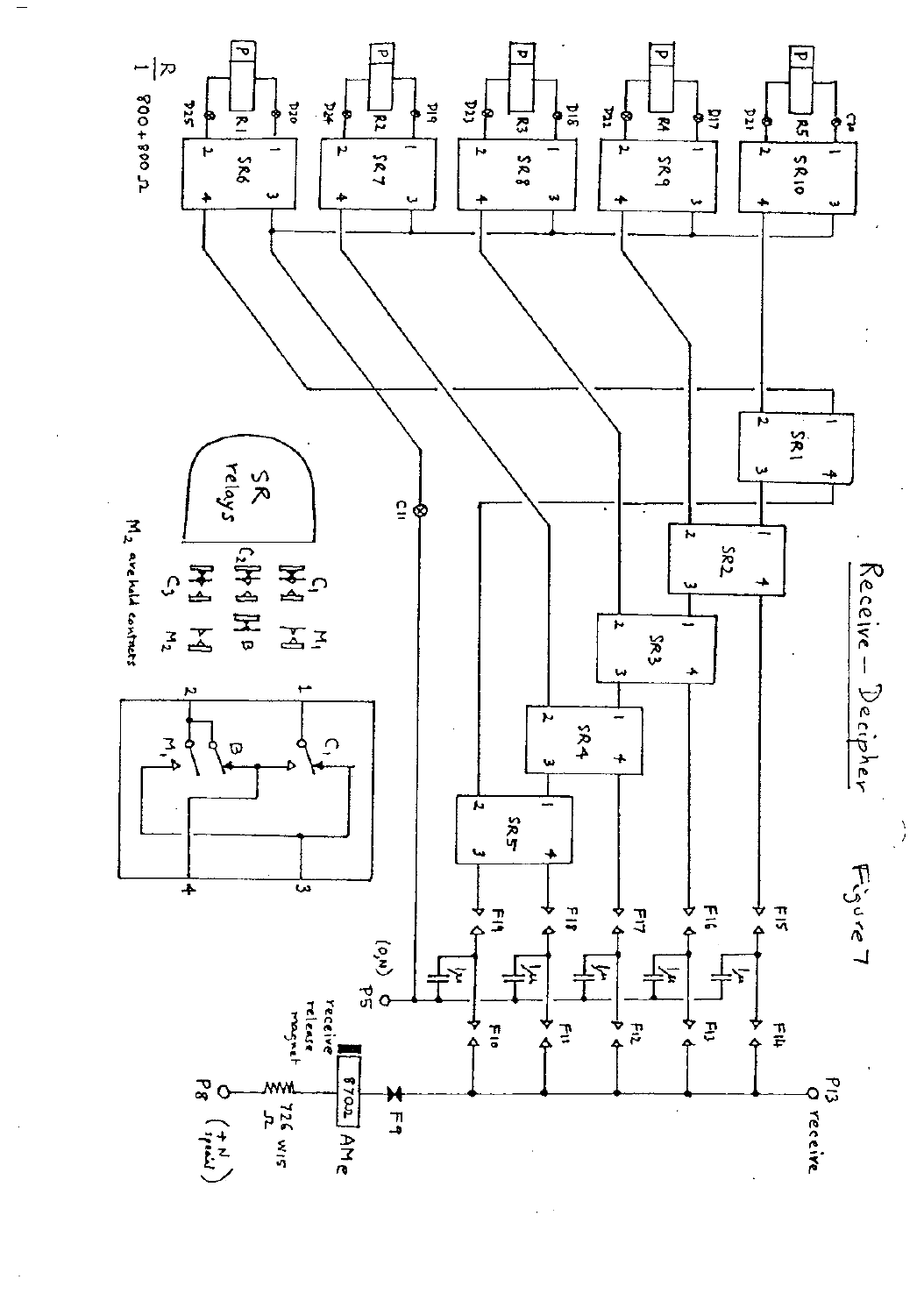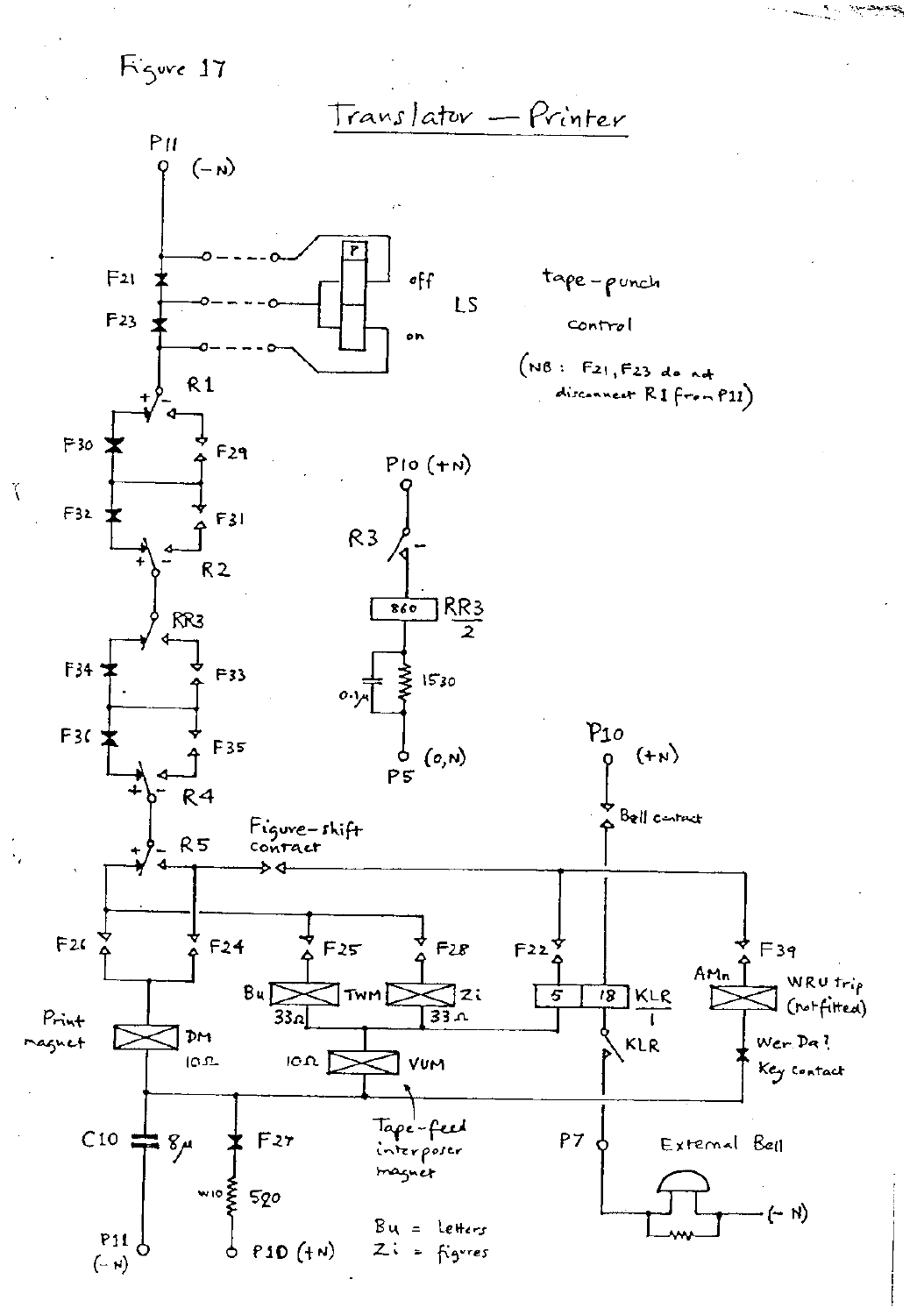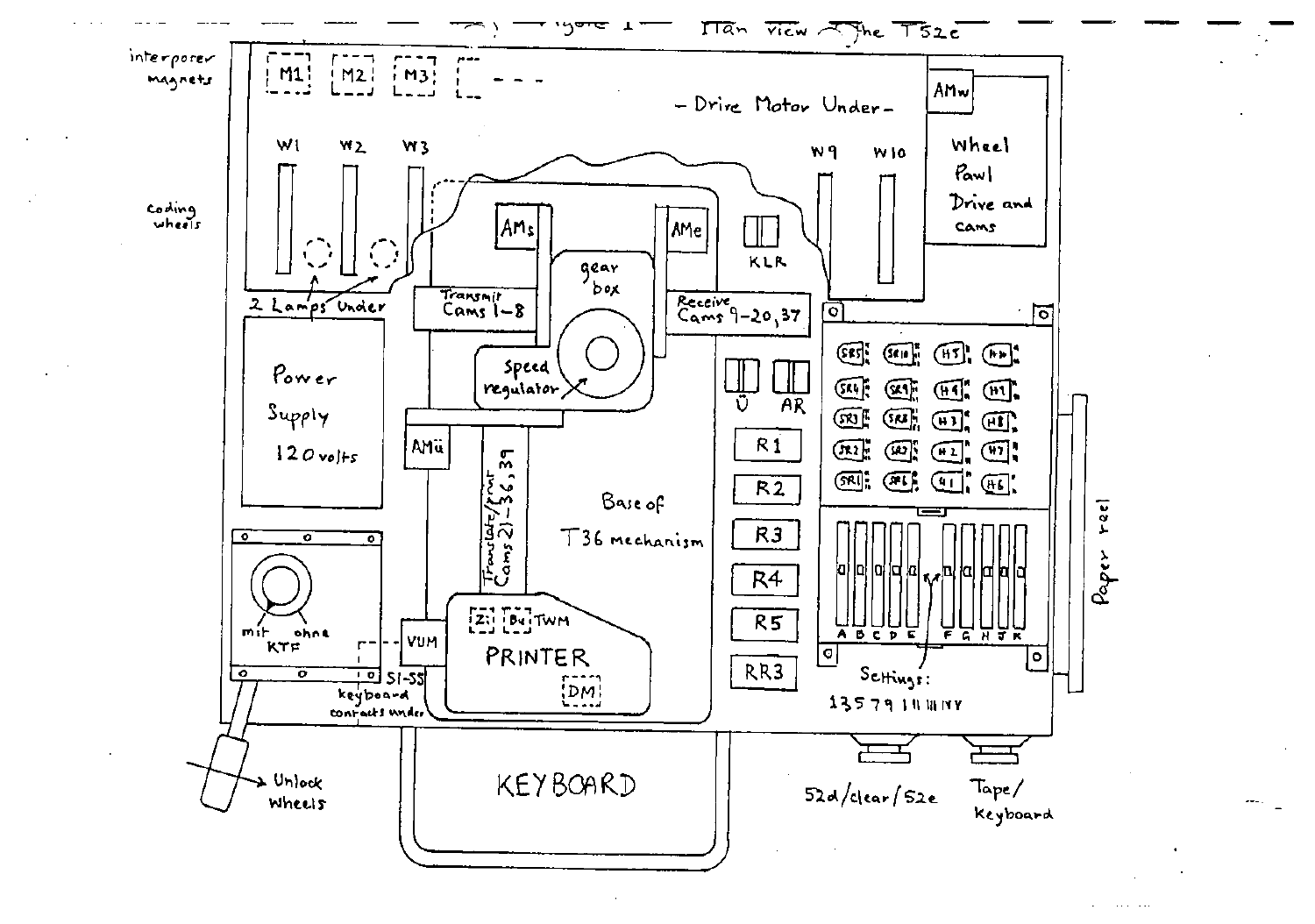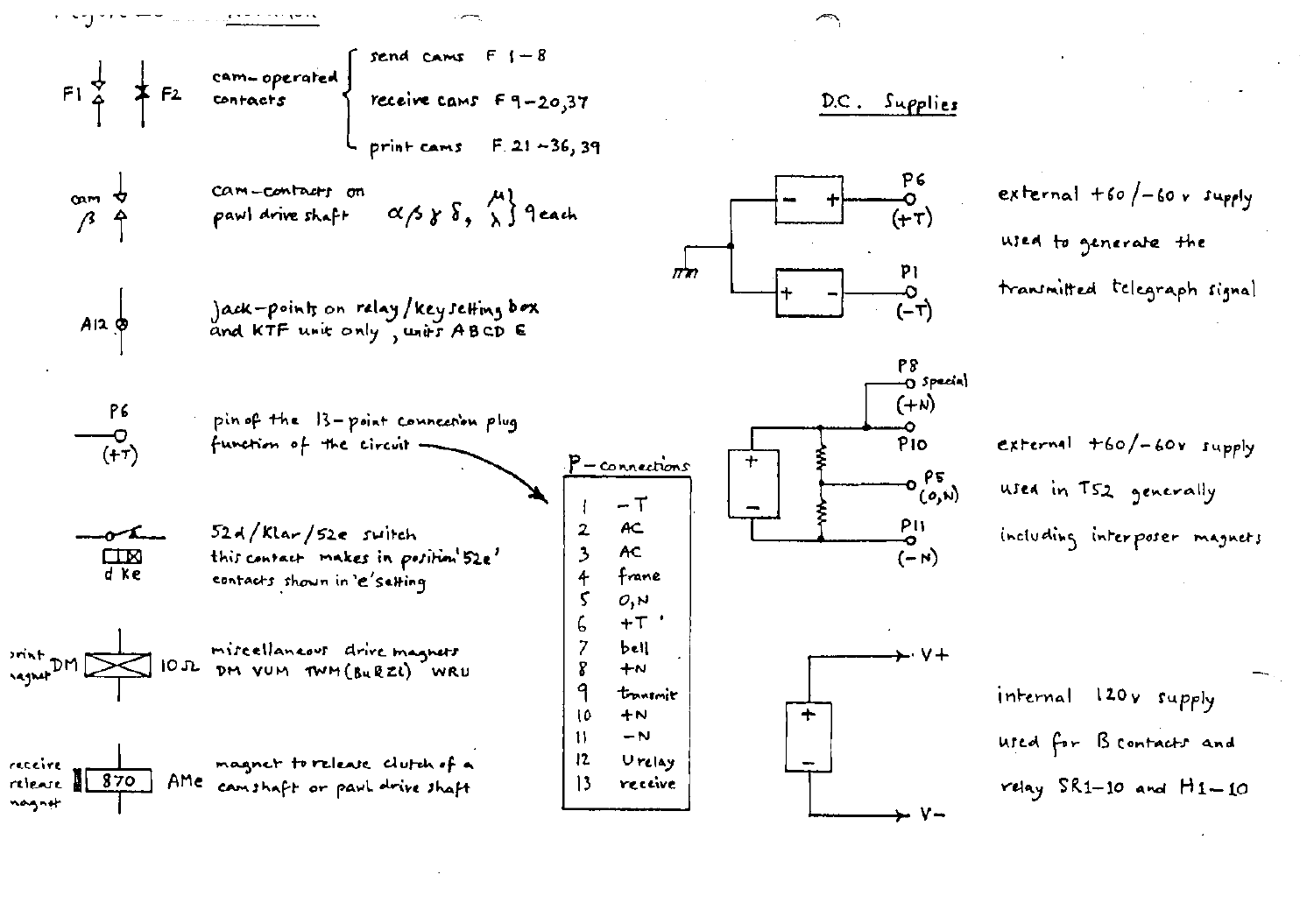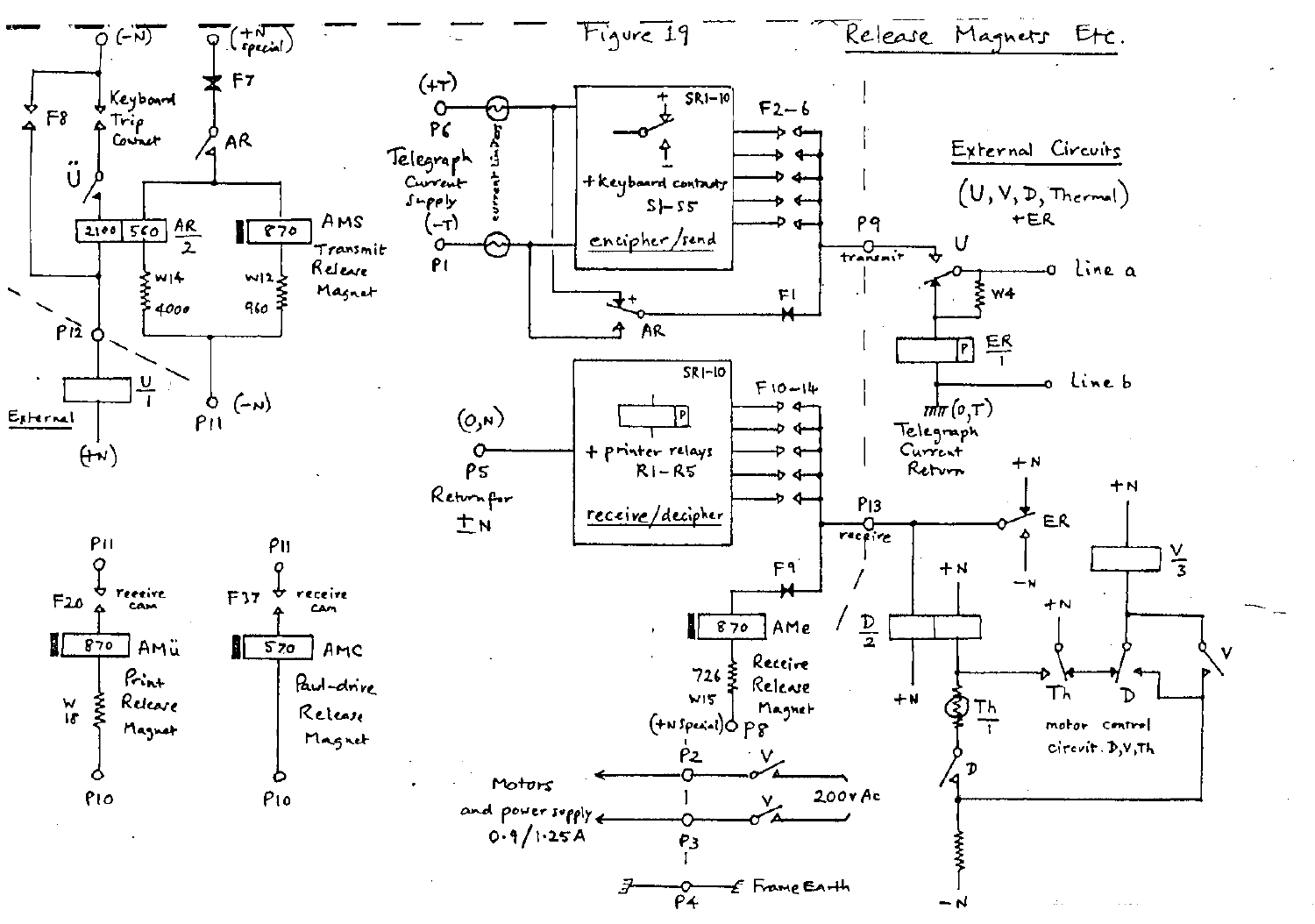